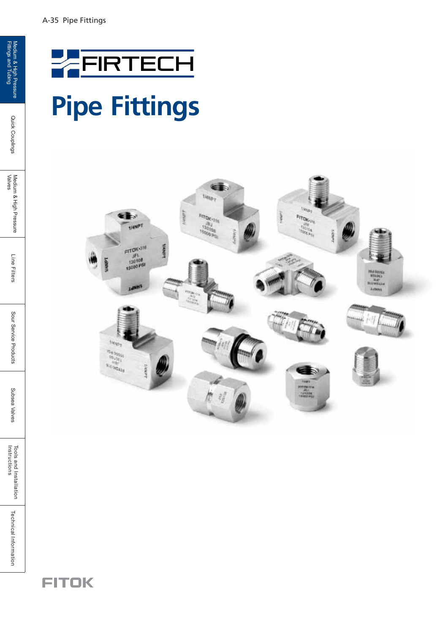## **Pipe Fittings**



**FITOK** 

Quick Couplings

Tools and Installation<br>Instructions

**Technical Information**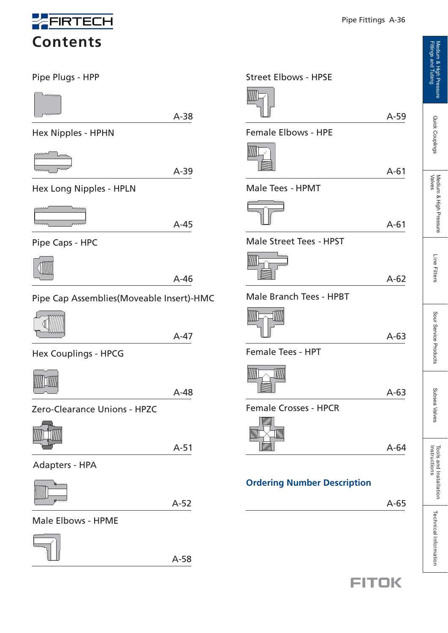

**Contents**

Pipe Plugs - HPP



A-38

Hex Nipples - HPHN



A-39

Hex Long Nipples - HPLN



A-45

A-46

Pipe Caps - HPC



Pipe Cap Assemblies(Moveable Insert)-HMC



A-47

Hex Couplings - HPCG



A-48

Zero-Clearance Unions - HPZC



A-51

Adapters - HPA



 $A-52$   $A-65$ 

#### Male Elbows - HPME



A-58

A-59

A-61

A-61

A-62

A-63

A-63

A-64

Female Elbows - HPE

Street Elbows - HPSE

Male Tees - HPMT

Male Street Tees - HPST

Male Branch Tees - HPBT

Female Tees - HPT

Female Crosses - HPCR

**Ordering Number Description**

# Tools and Installation<br>Instructions

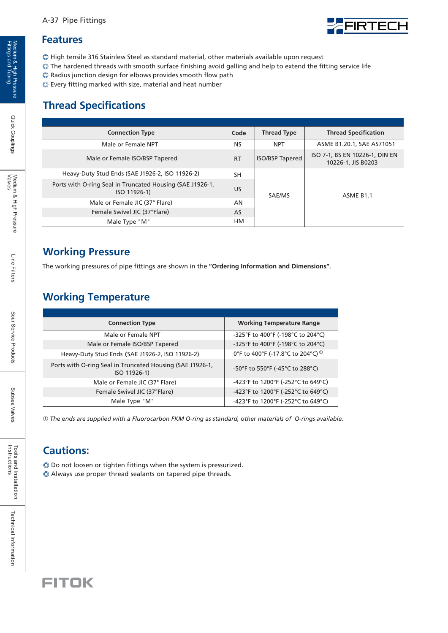### FIRTECH

#### **Features**

◎ High tensile 316 Stainless Steel as standard material, other materials available upon request

- ◎ The hardened threads with smooth surface finishing avoid galling and help to extend the fitting service life
- ◎ Radius junction design for elbows provides smooth flow path
- ◎ Every fitting marked with size, material and heat number

#### **Thread Specifications**

| <b>Connection Type</b>                                                    | Code      | <b>Thread Type</b>     | <b>Thread Specification</b>                          |  |
|---------------------------------------------------------------------------|-----------|------------------------|------------------------------------------------------|--|
| Male or Female NPT                                                        | <b>NS</b> | <b>NPT</b>             | ASME B1.20.1, SAE AS71051                            |  |
| Male or Female ISO/BSP Tapered                                            | <b>RT</b> | <b>ISO/BSP Tapered</b> | ISO 7-1, BS EN 10226-1, DIN EN<br>10226-1, JIS B0203 |  |
| Heavy-Duty Stud Ends (SAE J1926-2, ISO 11926-2)                           | SΗ        |                        | ASME B <sub>1.1</sub>                                |  |
| Ports with O-ring Seal in Truncated Housing (SAE J1926-1,<br>ISO 11926-1) | US        | SAE/MS                 |                                                      |  |
| Male or Female JIC (37° Flare)                                            | AN        |                        |                                                      |  |
| Female Swivel JIC (37°Flare)                                              | AS        |                        |                                                      |  |
| Male Type "M"                                                             | HМ        |                        |                                                      |  |

#### **Working Pressure**

The working pressures of pipe fittings are shown in the **"Ordering Information and Dimensions"**.

#### **Working Temperature**

| <b>Connection Type</b>                                                    | <b>Working Temperature Range</b>              |
|---------------------------------------------------------------------------|-----------------------------------------------|
| Male or Female NPT                                                        | -325°F to 400°F (-198°C to 204°C)             |
| Male or Female ISO/BSP Tapered                                            | -325°F to 400°F (-198°C to 204°C)             |
| Heavy-Duty Stud Ends (SAE J1926-2, ISO 11926-2)                           | 0°F to 400°F (-17.8°C to 204°C) <sup>10</sup> |
| Ports with O-ring Seal in Truncated Housing (SAE J1926-1,<br>ISO 11926-1) | -50°F to 550°F (-45°C to 288°C)               |
| Male or Female JIC (37° Flare)                                            | -423°F to 1200°F (-252°C to 649°C)            |
| Female Swivel JIC (37°Flare)                                              | -423°F to 1200°F (-252°C to 649°C)            |
| Male Type "M"                                                             | -423°F to 1200°F (-252°C to 649°C)            |

*The ends are supplied with a Fluorocarbon FKM O-ring as standard, other materials of O-rings available.* 1

#### **Cautions:**

◎ Do not loosen or tighten fittings when the system is pressurized.

◎ Always use proper thread sealants on tapered pipe threads.



Quick Couplings

**Technical Information**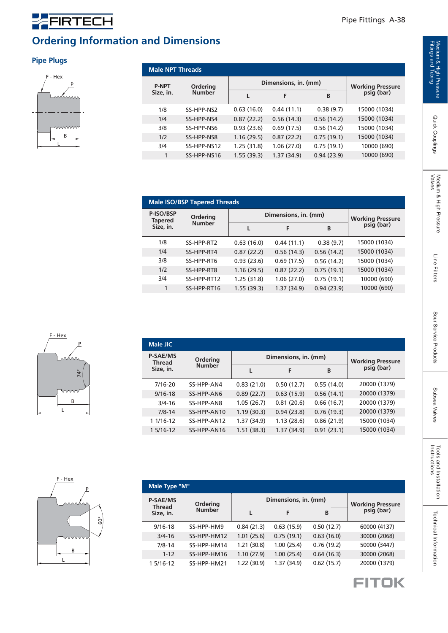#### **Ordering Information and Dimensions**

#### **Pipe Plugs**

FIRTECH



| <b>Male NPT Threads</b>   |               |            |                      |            |                                       |  |  |  |
|---------------------------|---------------|------------|----------------------|------------|---------------------------------------|--|--|--|
| <b>P-NPT</b><br>Size, in. | Ordering      |            | Dimensions, in. (mm) |            |                                       |  |  |  |
|                           | <b>Number</b> |            | F                    | B          | <b>Working Pressure</b><br>psig (bar) |  |  |  |
| 1/8                       | SS-HPP-NS2    | 0.63(16.0) | 0.44(11.1)           | 0.38(9.7)  | 15000 (1034)                          |  |  |  |
| 1/4                       | SS-HPP-NS4    | 0.87(22.2) | 0.56(14.3)           | 0.56(14.2) | 15000 (1034)                          |  |  |  |
| 3/8                       | SS-HPP-NS6    | 0.93(23.6) | 0.69(17.5)           | 0.56(14.2) | 15000 (1034)                          |  |  |  |
| 1/2                       | SS-HPP-NS8    | 1.16(29.5) | 0.87(22.2)           | 0.75(19.1) | 15000 (1034)                          |  |  |  |
| 3/4                       | SS-HPP-NS12   | 1.25(31.8) | 1.06(27.0)           | 0.75(19.1) | 10000 (690)                           |  |  |  |
| 1                         | SS-HPP-NS16   | 1.55(39.3) | 1.37(34.9)           | 0.94(23.9) | 10000 (690)                           |  |  |  |

| <b>Male ISO/BSP Tapered Threads</b> |               |            |                      |            |                                       |  |  |  |  |
|-------------------------------------|---------------|------------|----------------------|------------|---------------------------------------|--|--|--|--|
| P-ISO/BSP<br><b>Tapered</b>         | Ordering      |            | Dimensions, in. (mm) |            |                                       |  |  |  |  |
| Size, in.                           | <b>Number</b> |            | F                    | B          | <b>Working Pressure</b><br>psig (bar) |  |  |  |  |
| 1/8                                 | SS-HPP-RT2    | 0.63(16.0) | 0.44(11.1)           | 0.38(9.7)  | 15000 (1034)                          |  |  |  |  |
| 1/4                                 | SS-HPP-RT4    | 0.87(22.2) | 0.56(14.3)           | 0.56(14.2) | 15000 (1034)                          |  |  |  |  |
| 3/8                                 | SS-HPP-RT6    | 0.93(23.6) | 0.69(17.5)           | 0.56(14.2) | 15000 (1034)                          |  |  |  |  |
| 1/2                                 | SS-HPP-RT8    | 1.16(29.5) | 0.87(22.2)           | 0.75(19.1) | 15000 (1034)                          |  |  |  |  |
| 3/4                                 | SS-HPP-RT12   | 1.25(31.8) | 1.06(27.0)           | 0.75(19.1) | 10000 (690)                           |  |  |  |  |
| 1                                   | SS-HPP-RT16   | 1.55(39.3) | 1.37(34.9)           | 0.94(23.9) | 10000 (690)                           |  |  |  |  |

| <b>Male JIC</b>                  |               |            |                      |            |                                        |  |  |  |
|----------------------------------|---------------|------------|----------------------|------------|----------------------------------------|--|--|--|
| <b>P-SAE/MS</b><br><b>Thread</b> | Ordering      |            | Dimensions, in. (mm) |            |                                        |  |  |  |
| Size, in.                        | <b>Number</b> |            | F                    | B          | <b>Working Pressure<br/>psig (bar)</b> |  |  |  |
| 7/16-20                          | SS-HPP-AN4    | 0.83(21.0) | 0.50(12.7)           | 0.55(14.0) | 20000 (1379)                           |  |  |  |
| $9/16 - 18$                      | SS-HPP-AN6    | 0.89(22.7) | 0.63(15.9)           | 0.56(14.1) | 20000 (1379)                           |  |  |  |
| $3/4 - 16$                       | SS-HPP-AN8    | 1.05(26.7) | 0.81(20.6)           | 0.66(16.7) | 20000 (1379)                           |  |  |  |
| $7/8 - 14$                       | SS-HPP-AN10   | 1.19(30.3) | 0.94(23.8)           | 0.76(19.3) | 20000 (1379)                           |  |  |  |
| 1 1/16-12                        | SS-HPP-AN12   | 1.37(34.9) | 1.13(28.6)           | 0.86(21.9) | 15000 (1034)                           |  |  |  |
| 1 5/16-12                        | SS-HPP-AN16   | 1.51(38.3) | 1.37(34.9)           | 0.91(23.1) | 15000 (1034)                           |  |  |  |







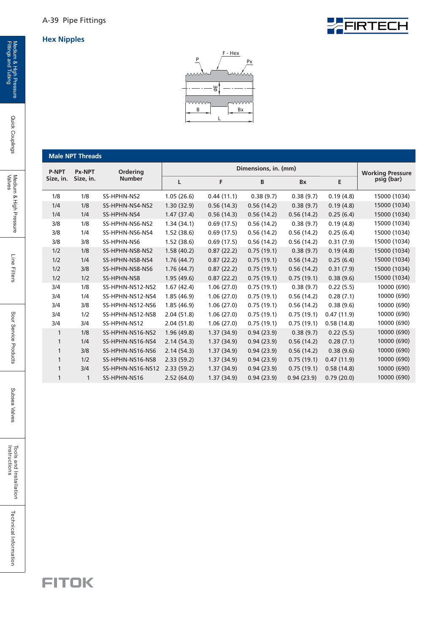



|              | <b>Male NPT Threads</b>    |                   |            |                      |            |            |            |                                       |
|--------------|----------------------------|-------------------|------------|----------------------|------------|------------|------------|---------------------------------------|
| <b>P-NPT</b> | <b>Px-NPT</b>              | Ordering          |            | Dimensions, in. (mm) |            |            |            |                                       |
| Size, in.    | Size, in.<br><b>Number</b> |                   | L          | F                    | B          | <b>Bx</b>  | E          | <b>Working Pressure</b><br>psig (bar) |
| 1/8          | 1/8                        | SS-HPHN-NS2       | 1.05(26.6) | 0.44(11.1)           | 0.38(9.7)  | 0.38(9.7)  | 0.19(4.8)  | 15000 (1034)                          |
| 1/4          | 1/8                        | SS-HPHN-NS4-NS2   | 1.30(32.9) | 0.56(14.3)           | 0.56(14.2) | 0.38(9.7)  | 0.19(4.8)  | 15000 (1034)                          |
| 1/4          | 1/4                        | SS-HPHN-NS4       | 1.47(37.4) | 0.56(14.3)           | 0.56(14.2) | 0.56(14.2) | 0.25(6.4)  | 15000 (1034)                          |
| 3/8          | 1/8                        | SS-HPHN-NS6-NS2   | 1.34(34.1) | 0.69(17.5)           | 0.56(14.2) | 0.38(9.7)  | 0.19(4.8)  | 15000 (1034)                          |
| 3/8          | 1/4                        | SS-HPHN-NS6-NS4   | 1.52(38.6) | 0.69(17.5)           | 0.56(14.2) | 0.56(14.2) | 0.25(6.4)  | 15000 (1034)                          |
| 3/8          | 3/8                        | SS-HPHN-NS6       | 1.52(38.6) | 0.69(17.5)           | 0.56(14.2) | 0.56(14.2) | 0.31(7.9)  | 15000 (1034)                          |
| 1/2          | 1/8                        | SS-HPHN-NS8-NS2   | 1.58(40.2) | 0.87(22.2)           | 0.75(19.1) | 0.38(9.7)  | 0.19(4.8)  | 15000 (1034)                          |
| 1/2          | 1/4                        | SS-HPHN-NS8-NS4   | 1.76(44.7) | 0.87(22.2)           | 0.75(19.1) | 0.56(14.2) | 0.25(6.4)  | 15000 (1034)                          |
| 1/2          | 3/8                        | SS-HPHN-NS8-NS6   | 1.76(44.7) | 0.87(22.2)           | 0.75(19.1) | 0.56(14.2) | 0.31(7.9)  | 15000 (1034)                          |
| 1/2          | 1/2                        | SS-HPHN-NS8       | 1.95(49.6) | 0.87(22.2)           | 0.75(19.1) | 0.75(19.1) | 0.38(9.6)  | 15000 (1034)                          |
| 3/4          | 1/8                        | SS-HPHN-NS12-NS2  | 1.67(42.4) | 1.06(27.0)           | 0.75(19.1) | 0.38(9.7)  | 0.22(5.5)  | 10000 (690)                           |
| 3/4          | 1/4                        | SS-HPHN-NS12-NS4  | 1.85(46.9) | 1.06(27.0)           | 0.75(19.1) | 0.56(14.2) | 0.28(7.1)  | 10000 (690)                           |
| 3/4          | 3/8                        | SS-HPHN-NS12-NS6  | 1.85(46.9) | 1.06(27.0)           | 0.75(19.1) | 0.56(14.2) | 0.38(9.6)  | 10000 (690)                           |
| 3/4          | 1/2                        | SS-HPHN-NS12-NS8  | 2.04(51.8) | 1.06(27.0)           | 0.75(19.1) | 0.75(19.1) | 0.47(11.9) | 10000 (690)                           |
| 3/4          | 3/4                        | SS-HPHN-NS12      | 2.04(51.8) | 1.06(27.0)           | 0.75(19.1) | 0.75(19.1) | 0.58(14.8) | 10000 (690)                           |
| $\mathbf{1}$ | 1/8                        | SS-HPHN-NS16-NS2  | 1.96(49.8) | 1.37(34.9)           | 0.94(23.9) | 0.38(9.7)  | 0.22(5.5)  | 10000 (690)                           |
| 1            | 1/4                        | SS-HPHN-NS16-NS4  | 2.14(54.3) | 1.37(34.9)           | 0.94(23.9) | 0.56(14.2) | 0.28(7.1)  | 10000 (690)                           |
| 1            | 3/8                        | SS-HPHN-NS16-NS6  | 2.14(54.3) | 1.37(34.9)           | 0.94(23.9) | 0.56(14.2) | 0.38(9.6)  | 10000 (690)                           |
| 1            | 1/2                        | SS-HPHN-NS16-NS8  | 2.33(59.2) | 1.37(34.9)           | 0.94(23.9) | 0.75(19.1) | 0.47(11.9) | 10000 (690)                           |
| 1            | 3/4                        | SS-HPHN-NS16-NS12 | 2.33(59.2) | 1.37(34.9)           | 0.94(23.9) | 0.75(19.1) | 0.58(14.8) | 10000 (690)                           |
| 1            | $\mathbf{1}$               | SS-HPHN-NS16      | 2.52(64.0) | 1.37(34.9)           | 0.94(23.9) | 0.94(23.9) | 0.79(20.0) | 10000 (690)                           |

Quick Couplings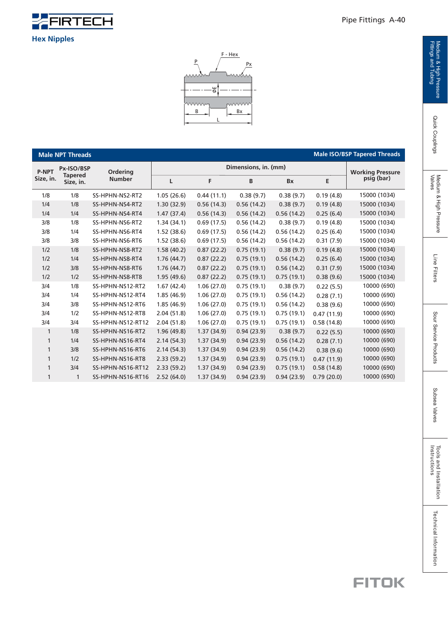

**Male NPT Threads**

1/4 1/4 3/8 3/8 3/8

1/8

**P-NPT Size, in.**

> 3/4 3/4 3/4 3/4 3/4 1 1 1 1

 $1/2$  $1/2$  $1/2$  $1/2$ 

> 1 1

1 3/4  SS-HPHN-NS16-RT12 SS-HPHN-NS16-RT16

2.33 (59.2) 2.52 (64.0) **Male ISO/BSP Tapered Threads**

| Px-ISO/BSP                  | <b>Ordering</b>   |            | Dimensions, in. (mm) |            |            |            |                                       |  |  |
|-----------------------------|-------------------|------------|----------------------|------------|------------|------------|---------------------------------------|--|--|
| <b>Tapered</b><br>Size, in. | <b>Number</b>     | L          | F                    | B          | <b>Bx</b>  | E          | <b>Working Pressure</b><br>psig (bar) |  |  |
| 1/8                         | SS-HPHN-NS2-RT2   | 1.05(26.6) | 0.44(11.1)           | 0.38(9.7)  | 0.38(9.7)  | 0.19(4.8)  | 15000 (1034)                          |  |  |
| 1/8                         | SS-HPHN-NS4-RT2   | 1.30(32.9) | 0.56(14.3)           | 0.56(14.2) | 0.38(9.7)  | 0.19(4.8)  | 15000 (1034)                          |  |  |
| 1/4                         | SS-HPHN-NS4-RT4   | 1.47(37.4) | 0.56(14.3)           | 0.56(14.2) | 0.56(14.2) | 0.25(6.4)  | 15000 (1034)                          |  |  |
| 1/8                         | SS-HPHN-NS6-RT2   | 1.34(34.1) | 0.69(17.5)           | 0.56(14.2) | 0.38(9.7)  | 0.19(4.8)  | 15000 (1034)                          |  |  |
| 1/4                         | SS-HPHN-NS6-RT4   | 1.52(38.6) | 0.69(17.5)           | 0.56(14.2) | 0.56(14.2) | 0.25(6.4)  | 15000 (1034)                          |  |  |
| 3/8                         | SS-HPHN-NS6-RT6   | 1.52(38.6) | 0.69(17.5)           | 0.56(14.2) | 0.56(14.2) | 0.31(7.9)  | 15000 (1034)                          |  |  |
| 1/8                         | SS-HPHN-NS8-RT2   | 1.58(40.2) | 0.87(22.2)           | 0.75(19.1) | 0.38(9.7)  | 0.19(4.8)  | 15000 (1034)                          |  |  |
| 1/4                         | SS-HPHN-NS8-RT4   | 1.76(44.7) | 0.87(22.2)           | 0.75(19.1) | 0.56(14.2) | 0.25(6.4)  | 15000 (1034)                          |  |  |
| 3/8                         | SS-HPHN-NS8-RT6   | 1.76(44.7) | 0.87(22.2)           | 0.75(19.1) | 0.56(14.2) | 0.31(7.9)  | 15000 (1034)                          |  |  |
| 1/2                         | SS-HPHN-NS8-RT8   | 1.95(49.6) | 0.87(22.2)           | 0.75(19.1) | 0.75(19.1) | 0.38(9.6)  | 15000 (1034)                          |  |  |
| 1/8                         | SS-HPHN-NS12-RT2  | 1.67(42.4) | 1.06(27.0)           | 0.75(19.1) | 0.38(9.7)  | 0.22(5.5)  | 10000 (690)                           |  |  |
| 1/4                         | SS-HPHN-NS12-RT4  | 1.85(46.9) | 1.06(27.0)           | 0.75(19.1) | 0.56(14.2) | 0.28(7.1)  | 10000 (690)                           |  |  |
| 3/8                         | SS-HPHN-NS12-RT6  | 1.85(46.9) | 1.06(27.0)           | 0.75(19.1) | 0.56(14.2) | 0.38(9.6)  | 10000 (690)                           |  |  |
| 1/2                         | SS-HPHN-NS12-RT8  | 2.04(51.8) | 1.06(27.0)           | 0.75(19.1) | 0.75(19.1) | 0.47(11.9) | 10000 (690)                           |  |  |
| 3/4                         | SS-HPHN-NS12-RT12 | 2.04(51.8) | 1.06(27.0)           | 0.75(19.1) | 0.75(19.1) | 0.58(14.8) | 10000 (690)                           |  |  |
| 1/8                         | SS-HPHN-NS16-RT2  | 1.96(49.8) | 1.37(34.9)           | 0.94(23.9) | 0.38(9.7)  | 0.22(5.5)  | 10000 (690)                           |  |  |
| 1/4                         | SS-HPHN-NS16-RT4  | 2.14(54.3) | 1.37(34.9)           | 0.94(23.9) | 0.56(14.2) | 0.28(7.1)  | 10000 (690)                           |  |  |
| 3/8                         | SS-HPHN-NS16-RT6  | 2.14(54.3) | 1.37(34.9)           | 0.94(23.9) | 0.56(14.2) | 0.38(9.6)  | 10000 (690)                           |  |  |
| 1/2                         | SS-HPHN-NS16-RT8  | 2.33(59.2) | 1.37(34.9)           | 0.94(23.9) | 0.75(19.1) | 0.47(11.9) | 10000 (690)                           |  |  |

0.94 (23.9) 0.94 (23.9)

1.37 (34.9) 1.37 (34.9)

0.94 (23.9)

0.75 (19.1)

 $0.58(14.8)$  $0.79(20.0)$ 



#### **FITOK**

 10000 (690) 10000 (690)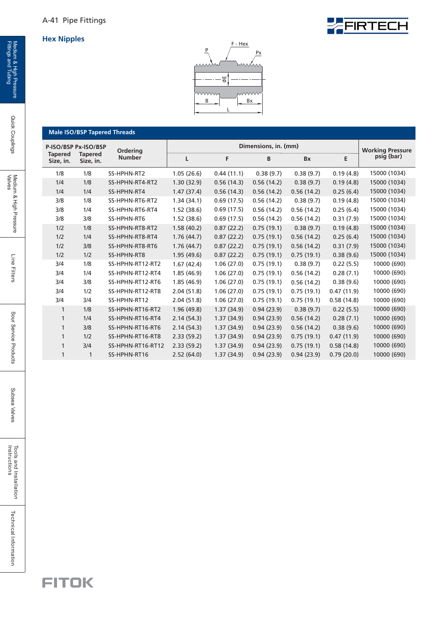



**Male ISO/BSP Tapered Threads**

| P-ISO/BSP Px-ISO/BSP        |                             | Ordering          |            | <b>Working Pressure</b> |            |            |            |              |
|-----------------------------|-----------------------------|-------------------|------------|-------------------------|------------|------------|------------|--------------|
| <b>Tapered</b><br>Size, in. | <b>Tapered</b><br>Size, in. | <b>Number</b>     | L          | F                       | B          | Bx         | Е          | psig (bar)   |
| 1/8                         | 1/8                         | SS-HPHN-RT2       | 1.05(26.6) | 0.44(11.1)              | 0.38(9.7)  | 0.38(9.7)  | 0.19(4.8)  | 15000 (1034) |
| 1/4                         | 1/8                         | SS-HPHN-RT4-RT2   | 1.30(32.9) | 0.56(14.3)              | 0.56(14.2) | 0.38(9.7)  | 0.19(4.8)  | 15000 (1034) |
| 1/4                         | 1/4                         | SS-HPHN-RT4       | 1.47(37.4) | 0.56(14.3)              | 0.56(14.2) | 0.56(14.2) | 0.25(6.4)  | 15000 (1034) |
| 3/8                         | 1/8                         | SS-HPHN-RT6-RT2   | 1.34(34.1) | 0.69(17.5)              | 0.56(14.2) | 0.38(9.7)  | 0.19(4.8)  | 15000 (1034) |
| 3/8                         | 1/4                         | SS-HPHN-RT6-RT4   | 1.52(38.6) | 0.69(17.5)              | 0.56(14.2) | 0.56(14.2) | 0.25(6.4)  | 15000 (1034) |
| 3/8                         | 3/8                         | SS-HPHN-RT6       | 1.52(38.6) | 0.69(17.5)              | 0.56(14.2) | 0.56(14.2) | 0.31(7.9)  | 15000 (1034) |
| 1/2                         | 1/8                         | SS-HPHN-RT8-RT2   | 1.58(40.2) | 0.87(22.2)              | 0.75(19.1) | 0.38(9.7)  | 0.19(4.8)  | 15000 (1034) |
| 1/2                         | 1/4                         | SS-HPHN-RT8-RT4   | 1.76(44.7) | 0.87(22.2)              | 0.75(19.1) | 0.56(14.2) | 0.25(6.4)  | 15000 (1034) |
| 1/2                         | 3/8                         | SS-HPHN-RT8-RT6   | 1.76(44.7) | 0.87(22.2)              | 0.75(19.1) | 0.56(14.2) | 0.31(7.9)  | 15000 (1034) |
| 1/2                         | 1/2                         | SS-HPHN-RT8       | 1.95(49.6) | 0.87(22.2)              | 0.75(19.1) | 0.75(19.1) | 0.38(9.6)  | 15000 (1034) |
| 3/4                         | 1/8                         | SS-HPHN-RT12-RT2  | 1.67(42.4) | 1.06(27.0)              | 0.75(19.1) | 0.38(9.7)  | 0.22(5.5)  | 10000 (690)  |
| 3/4                         | 1/4                         | SS-HPHN-RT12-RT4  | 1.85(46.9) | 1.06(27.0)              | 0.75(19.1) | 0.56(14.2) | 0.28(7.1)  | 10000 (690)  |
| 3/4                         | 3/8                         | SS-HPHN-RT12-RT6  | 1.85(46.9) | 1.06(27.0)              | 0.75(19.1) | 0.56(14.2) | 0.38(9.6)  | 10000 (690)  |
| 3/4                         | 1/2                         | SS-HPHN-RT12-RT8  | 2.04(51.8) | 1.06(27.0)              | 0.75(19.1) | 0.75(19.1) | 0.47(11.9) | 10000 (690)  |
| 3/4                         | 3/4                         | SS-HPHN-RT12      | 2.04(51.8) | 1.06(27.0)              | 0.75(19.1) | 0.75(19.1) | 0.58(14.8) | 10000 (690)  |
| $\mathbf{1}$                | 1/8                         | SS-HPHN-RT16-RT2  | 1.96(49.8) | 1.37(34.9)              | 0.94(23.9) | 0.38(9.7)  | 0.22(5.5)  | 10000 (690)  |
| $\mathbf{1}$                | 1/4                         | SS-HPHN-RT16-RT4  | 2.14(54.3) | 1.37(34.9)              | 0.94(23.9) | 0.56(14.2) | 0.28(7.1)  | 10000 (690)  |
| $\mathbf{1}$                | 3/8                         | SS-HPHN-RT16-RT6  | 2.14(54.3) | 1.37(34.9)              | 0.94(23.9) | 0.56(14.2) | 0.38(9.6)  | 10000 (690)  |
| $\mathbf{1}$                | 1/2                         | SS-HPHN-RT16-RT8  | 2.33(59.2) | 1.37(34.9)              | 0.94(23.9) | 0.75(19.1) | 0.47(11.9) | 10000 (690)  |
| $\mathbf{1}$                | 3/4                         | SS-HPHN-RT16-RT12 | 2.33(59.2) | 1.37(34.9)              | 0.94(23.9) | 0.75(19.1) | 0.58(14.8) | 10000 (690)  |
| 1                           | $\mathbf{1}$                | SS-HPHN-RT16      | 2.52(64.0) | 1.37(34.9)              | 0.94(23.9) | 0.94(23.9) | 0.79(20.0) | 10000 (690)  |



Quick Couplings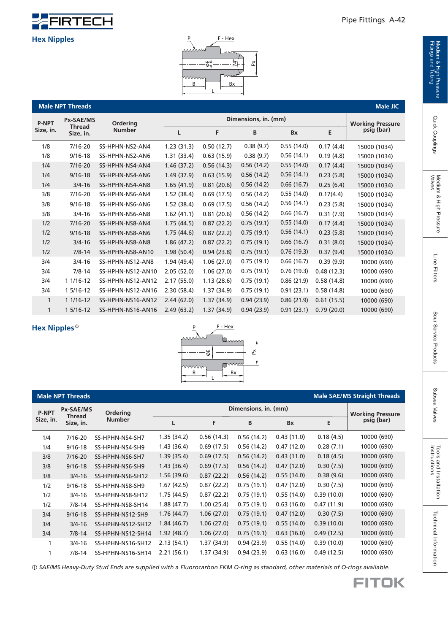

#### Pipe Fittings A-42

## Quick Couplings

Medium & High Pressure<br>Valves

| <b>P-NPT</b><br>Size, in. | <b>Px-SAE/MS</b><br><b>Thread</b><br>Size. in. |
|---------------------------|------------------------------------------------|

| 히.<br>24<br>짓<br>www<br>www.w<br>B<br>Bx |                                     |                   |            |                      |            |            |            |              |  |  |
|------------------------------------------|-------------------------------------|-------------------|------------|----------------------|------------|------------|------------|--------------|--|--|
|                                          | Male JIC<br><b>Male NPT Threads</b> |                   |            |                      |            |            |            |              |  |  |
| <b>P-NPT</b>                             | <b>Px-SAE/MS</b><br><b>Thread</b>   | Ordering          |            | Dimensions, in. (mm) |            |            |            |              |  |  |
| Size, in.                                | Size, in.                           | <b>Number</b>     | L          | F                    | В          | Bx         | E          | psig (bar)   |  |  |
| 1/8                                      | $7/16 - 20$                         | SS-HPHN-NS2-AN4   | 1.23(31.3) | 0.50(12.7)           | 0.38(9.7)  | 0.55(14.0) | 0.17(4.4)  | 15000 (1034) |  |  |
| 1/8                                      | $9/16 - 18$                         | SS-HPHN-NS2-AN6   | 1.31(33.4) | 0.63(15.9)           | 0.38(9.7)  | 0.56(14.1) | 0.19(4.8)  | 15000 (1034) |  |  |
| 1/4                                      | $7/16 - 20$                         | SS-HPHN-NS4-AN4   | 1.46(37.2) | 0.56(14.3)           | 0.56(14.2) | 0.55(14.0) | 0.17(4.4)  | 15000 (1034) |  |  |
| 1/4                                      | $9/16 - 18$                         | SS-HPHN-NS4-AN6   | 1.49(37.9) | 0.63(15.9)           | 0.56(14.2) | 0.56(14.1) | 0.23(5.8)  | 15000 (1034) |  |  |
| 1/4                                      | $3/4 - 16$                          | SS-HPHN-NS4-AN8   | 1.65(41.9) | 0.81(20.6)           | 0.56(14.2) | 0.66(16.7) | 0.25(6.4)  | 15000 (1034) |  |  |
| 3/8                                      | $7/16 - 20$                         | SS-HPHN-NS6-AN4   | 1.52(38.4) | 0.69(17.5)           | 0.56(14.2) | 0.55(14.0) | 0.17(4.4)  | 15000 (1034) |  |  |
| 3/8                                      | $9/16 - 18$                         | SS-HPHN-NS6-AN6   | 1.52(38.4) | 0.69(17.5)           | 0.56(14.2) | 0.56(14.1) | 0.23(5.8)  | 15000 (1034) |  |  |
| 3/8                                      | $3/4 - 16$                          | SS-HPHN-NS6-AN8   | 1.62(41.1) | 0.81(20.6)           | 0.56(14.2) | 0.66(16.7) | 0.31(7.9)  | 15000 (1034) |  |  |
| 1/2                                      | $7/16 - 20$                         | SS-HPHN-NS8-AN4   | 1.75(44.5) | 0.87(22.2)           | 0.75(19.1) | 0.55(14.0) | 0.17(4.4)  | 15000 (1034) |  |  |
| 1/2                                      | $9/16 - 18$                         | SS-HPHN-NS8-AN6   | 1.75(44.6) | 0.87(22.2)           | 0.75(19.1) | 0.56(14.1) | 0.23(5.8)  | 15000 (1034) |  |  |
| 1/2                                      | $3/4 - 16$                          | SS-HPHN-NS8-AN8   | 1.86(47.2) | 0.87(22.2)           | 0.75(19.1) | 0.66(16.7) | 0.31(8.0)  | 15000 (1034) |  |  |
| 1/2                                      | $7/8 - 14$                          | SS-HPHN-NS8-AN10  | 1.98(50.4) | 0.94(23.8)           | 0.75(19.1) | 0.76(19.3) | 0.37(9.4)  | 15000 (1034) |  |  |
| 3/4                                      | $3/4 - 16$                          | SS-HPHN-NS12-AN8  | 1.94(49.4) | 1.06(27.0)           | 0.75(19.1) | 0.66(16.7) | 0.39(9.9)  | 10000 (690)  |  |  |
| 3/4                                      | $7/8 - 14$                          | SS-HPHN-NS12-AN10 | 2.05(52.0) | 1.06(27.0)           | 0.75(19.1) | 0.76(19.3) | 0.48(12.3) | 10000 (690)  |  |  |
| 3/4                                      | 1 1/16-12                           | SS-HPHN-NS12-AN12 | 2.17(55.0) | 1.13(28.6)           | 0.75(19.1) | 0.86(21.9) | 0.58(14.8) | 10000 (690)  |  |  |
| 3/4                                      | 1 5/16-12                           | SS-HPHN-NS12-AN16 | 2.30(58.4) | 1.37(34.9)           | 0.75(19.1) | 0.91(23.1) | 0.58(14.8) | 10000 (690)  |  |  |
| $\mathbf{1}$                             | 1 1/16-12                           | SS-HPHN-NS16-AN12 | 2.44(62.0) | 1.37(34.9)           | 0.94(23.9) | 0.86(21.9) | 0.61(15.5) | 10000 (690)  |  |  |
| 1                                        | 1 5/16-12                           | SS-HPHN-NS16-AN16 | 2.49(63.2) | 1.37(34.9)           | 0.94(23.9) | 0.91(23.1) | 0.79(20.0) | 10000 (690)  |  |  |

P F - Hex

74°

Ă

#### **Hex Nipples** 1



|              | <b>Male NPT Threads</b> |                           |            |                         |            |            |            | <b>Male SAE/MS Straight Threads</b> |
|--------------|-------------------------|---------------------------|------------|-------------------------|------------|------------|------------|-------------------------------------|
| <b>P-NPT</b> | Px-SAE/MS<br>Thread     | Ordering<br><b>Number</b> |            | <b>Working Pressure</b> |            |            |            |                                     |
| Size, in.    | Size, in.               |                           | L          | F                       | B          | <b>Bx</b>  | E          | psig (bar)                          |
| 1/4          | 7/16-20                 | SS-HPHN-NS4-SH7           | 1.35(34.2) | 0.56(14.3)              | 0.56(14.2) | 0.43(11.0) | 0.18(4.5)  | 10000 (690)                         |
| 1/4          | $9/16 - 18$             | SS-HPHN-NS4-SH9           | 1.43(36.4) | 0.69(17.5)              | 0.56(14.2) | 0.47(12.0) | 0.28(7.1)  | 10000 (690)                         |
| 3/8          | 7/16-20                 | SS-HPHN-NS6-SH7           | 1.39(35.4) | 0.69(17.5)              | 0.56(14.2) | 0.43(11.0) | 0.18(4.5)  | 10000 (690)                         |
| 3/8          | $9/16 - 18$             | SS-HPHN-NS6-SH9           | 1.43(36.4) | 0.69(17.5)              | 0.56(14.2) | 0.47(12.0) | 0.30(7.5)  | 10000 (690)                         |
| 3/8          | $3/4 - 16$              | SS-HPHN-NS6-SH12          | 1.56(39.6) | 0.87(22.2)              | 0.56(14.2) | 0.55(14.0) | 0.38(9.6)  | 10000 (690)                         |
| 1/2          | $9/16 - 18$             | SS-HPHN-NS8-SH9           | 1.67(42.5) | 0.87(22.2)              | 0.75(19.1) | 0.47(12.0) | 0.30(7.5)  | 10000 (690)                         |
| 1/2          | $3/4 - 16$              | SS-HPHN-NS8-SH12          | 1.75(44.5) | 0.87(22.2)              | 0.75(19.1) | 0.55(14.0) | 0.39(10.0) | 10000 (690)                         |
| 1/2          | $7/8 - 14$              | SS-HPHN-NS8-SH14          | 1.88(47.7) | 1.00(25.4)              | 0.75(19.1) | 0.63(16.0) | 0.47(11.9) | 10000 (690)                         |
| 3/4          | $9/16 - 18$             | SS-HPHN-NS12-SH9          | 1.76(44.7) | 1.06(27.0)              | 0.75(19.1) | 0.47(12.0) | 0.30(7.5)  | 10000 (690)                         |
| 3/4          | $3/4 - 16$              | SS-HPHN-NS12-SH12         | 1.84(46.7) | 1.06(27.0)              | 0.75(19.1) | 0.55(14.0) | 0.39(10.0) | 10000 (690)                         |
| 3/4          | $7/8 - 14$              | SS-HPHN-NS12-SH14         | 1.92(48.7) | 1.06(27.0)              | 0.75(19.1) | 0.63(16.0) | 0.49(12.5) | 10000 (690)                         |
| 1            | $3/4 - 16$              | SS-HPHN-NS16-SH12         | 2.13(54.1) | 1.37 (34.9)             | 0.94(23.9) | 0.55(14.0) | 0.39(10.0) | 10000 (690)                         |
|              | $7/8 - 14$              | SS-HPHN-NS16-SH14         | 2.21(56.1) | 1.37 (34.9)             | 0.94(23.9) | 0.63(16.0) | 0.49(12.5) | 10000 (690)                         |

 *SAE/MS Heavy-Duty Stud Ends are supplied with a Fl uorocarbon FKM O-ring as standard, other materials of O-rings available.* 1

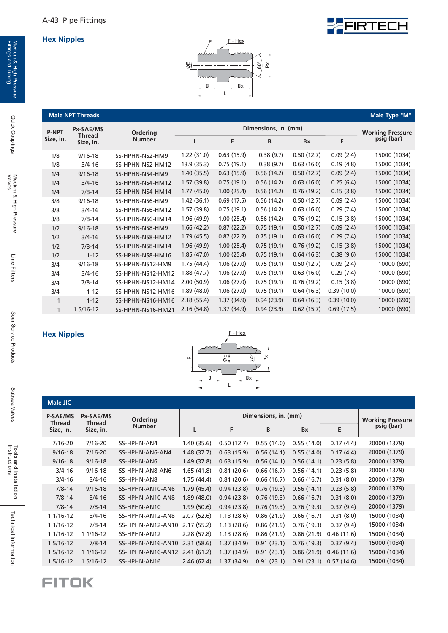



|              | <b>Male NPT Threads</b>    |                   |             |            |                         |            |            | Male Type "M" |
|--------------|----------------------------|-------------------|-------------|------------|-------------------------|------------|------------|---------------|
| <b>P-NPT</b> | <b>Px-SAE/MS</b>           | Ordering          |             |            | <b>Working Pressure</b> |            |            |               |
| Size, in.    | <b>Thread</b><br>Size, in. | <b>Number</b>     | L           | F          | B                       | <b>Bx</b>  | E          | psig (bar)    |
| 1/8          | $9/16 - 18$                | SS-HPHN-NS2-HM9   | 1.22(31.0)  | 0.63(15.9) | 0.38(9.7)               | 0.50(12.7) | 0.09(2.4)  | 15000 (1034)  |
| 1/8          | $3/4 - 16$                 | SS-HPHN-NS2-HM12  | 13.9 (35.3) | 0.75(19.1) | 0.38(9.7)               | 0.63(16.0) | 0.19(4.8)  | 15000 (1034)  |
| 1/4          | $9/16 - 18$                | SS-HPHN-NS4-HM9   | 1.40 (35.5) | 0.63(15.9) | 0.56(14.2)              | 0.50(12.7) | 0.09(2.4)  | 15000 (1034)  |
| 1/4          | $3/4 - 16$                 | SS-HPHN-NS4-HM12  | 1.57(39.8)  | 0.75(19.1) | 0.56(14.2)              | 0.63(16.0) | 0.25(6.4)  | 15000 (1034)  |
| 1/4          | $7/8 - 14$                 | SS-HPHN-NS4-HM14  | 1.77(45.0)  | 1.00(25.4) | 0.56(14.2)              | 0.76(19.2) | 0.15(3.8)  | 15000 (1034)  |
| 3/8          | $9/16 - 18$                | SS-HPHN-NS6-HM9   | 1.42 (36.1) | 0.69(17.5) | 0.56(14.2)              | 0.50(12.7) | 0.09(2.4)  | 15000 (1034)  |
| 3/8          | $3/4 - 16$                 | SS-HPHN-NS6-HM12  | 1.57(39.8)  | 0.75(19.1) | 0.56(14.2)              | 0.63(16.0) | 0.29(7.4)  | 15000 (1034)  |
| 3/8          | $7/8 - 14$                 | SS-HPHN-NS6-HM14  | 1.96 (49.9) | 1.00(25.4) | 0.56(14.2)              | 0.76(19.2) | 0.15(3.8)  | 15000 (1034)  |
| 1/2          | $9/16 - 18$                | SS-HPHN-NS8-HM9   | 1.66 (42.2) | 0.87(22.2) | 0.75(19.1)              | 0.50(12.7) | 0.09(2.4)  | 15000 (1034)  |
| 1/2          | $3/4 - 16$                 | SS-HPHN-NS8-HM12  | 1.79(45.5)  | 0.87(22.2) | 0.75(19.1)              | 0.63(16.0) | 0.29(7.4)  | 15000 (1034)  |
| 1/2          | $7/8 - 14$                 | SS-HPHN-NS8-HM14  | 1.96 (49.9) | 1.00(25.4) | 0.75(19.1)              | 0.76(19.2) | 0.15(3.8)  | 15000 (1034)  |
| 1/2          | $1 - 12$                   | SS-HPHN-NS8-HM16  | 1.85(47.0)  | 1.00(25.4) | 0.75(19.1)              | 0.64(16.3) | 0.38(9.6)  | 15000 (1034)  |
| 3/4          | $9/16 - 18$                | SS-HPHN-NS12-HM9  | 1.75(44.4)  | 1.06(27.0) | 0.75(19.1)              | 0.50(12.7) | 0.09(2.4)  | 10000 (690)   |
| 3/4          | $3/4 - 16$                 | SS-HPHN-NS12-HM12 | 1.88(47.7)  | 1.06(27.0) | 0.75(19.1)              | 0.63(16.0) | 0.29(7.4)  | 10000 (690)   |
| 3/4          | $7/8 - 14$                 | SS-HPHN-NS12-HM14 | 2.00(50.9)  | 1.06(27.0) | 0.75(19.1)              | 0.76(19.2) | 0.15(3.8)  | 10000 (690)   |
| 3/4          | $1 - 12$                   | SS-HPHN-NS12-HM16 | 1.89(48.0)  | 1.06(27.0) | 0.75(19.1)              | 0.64(16.3) | 0.39(10.0) | 10000 (690)   |
| 1            | $1 - 12$                   | SS-HPHN-NS16-HM16 | 2.18(55.4)  | 1.37(34.9) | 0.94(23.9)              | 0.64(16.3) | 0.39(10.0) | 10000 (690)   |
| 1            | 1 5/16-12                  | SS-HPHN-NS16-HM21 | 2.16(54.8)  | 1.37(34.9) | 0.94(23.9)              | 0.62(15.7) | 0.69(17.5) | 10000 (690)   |

#### **Hex Nipples**



| Male JIC                     |                            |                   |             |                      |            |            |            |                                       |
|------------------------------|----------------------------|-------------------|-------------|----------------------|------------|------------|------------|---------------------------------------|
| P-SAE/MS<br><b>Px-SAE/MS</b> |                            | <b>Ordering</b>   |             | Dimensions, in. (mm) |            |            |            |                                       |
| <b>Thread</b><br>Size, in.   | <b>Thread</b><br>Size, in. | <b>Number</b>     | L           | F                    | B          | <b>Bx</b>  | E          | <b>Working Pressure</b><br>psig (bar) |
| $7/16 - 20$                  | 7/16-20                    | SS-HPHN-AN4       | 1.40 (35.6) | 0.50(12.7)           | 0.55(14.0) | 0.55(14.0) | 0.17(4.4)  | 20000 (1379)                          |
| $9/16 - 18$                  | $7/16 - 20$                | SS-HPHN-AN6-AN4   | 1.48(37.7)  | 0.63(15.9)           | 0.56(14.1) | 0.55(14.0) | 0.17(4.4)  | 20000 (1379)                          |
| $9/16 - 18$                  | $9/16 - 18$                | SS-HPHN-AN6       | 1.49(37.8)  | 0.63(15.9)           | 0.56(14.1) | 0.56(14.1) | 0.23(5.8)  | 20000 (1379)                          |
| $3/4 - 16$                   | $9/16 - 18$                | SS-HPHN-AN8-AN6   | 1.65(41.8)  | 0.81(20.6)           | 0.66(16.7) | 0.56(14.1) | 0.23(5.8)  | 20000 (1379)                          |
| $3/4 - 16$                   | $3/4 - 16$                 | SS-HPHN-AN8       | 1.75(44.4)  | 0.81(20.6)           | 0.66(16.7) | 0.66(16.7) | 0.31(8.0)  | 20000 (1379)                          |
| $7/8 - 14$                   | $9/16 - 18$                | SS-HPHN-AN10-AN6  | 1.79(45.4)  | 0.94(23.8)           | 0.76(19.3) | 0.56(14.1) | 0.23(5.8)  | 20000 (1379)                          |
| $7/8 - 14$                   | $3/4 - 16$                 | SS-HPHN-AN10-AN8  | 1.89(48.0)  | 0.94(23.8)           | 0.76(19.3) | 0.66(16.7) | 0.31(8.0)  | 20000 (1379)                          |
| $7/8 - 14$                   | $7/8 - 14$                 | SS-HPHN-AN10      | 1.99(50.6)  | 0.94(23.8)           | 0.76(19.3) | 0.76(19.3) | 0.37(9.4)  | 20000 (1379)                          |
| 1 1/16-12                    | $3/4 - 16$                 | SS-HPHN-AN12-AN8  | 2.07(52.6)  | 1.13(28.6)           | 0.86(21.9) | 0.66(16.7) | 0.31(8.0)  | 15000 (1034)                          |
| 1 1/16-12                    | $7/8 - 14$                 | SS-HPHN-AN12-AN10 | 2.17(55.2)  | 1.13(28.6)           | 0.86(21.9) | 0.76(19.3) | 0.37(9.4)  | 15000 (1034)                          |
| 1 1/16-12                    | 1 1/16-12                  | SS-HPHN-AN12      | 2.28(57.8)  | 1.13(28.6)           | 0.86(21.9) | 0.86(21.9) | 0.46(11.6) | 15000 (1034)                          |
| 1 5/16-12                    | $7/8 - 14$                 | SS-HPHN-AN16-AN10 | 2.31(58.6)  | 1.37(34.9)           | 0.91(23.1) | 0.76(19.3) | 0.37(9.4)  | 15000 (1034)                          |
| 1 5/16-12                    | 1 1/16-12                  | SS-HPHN-AN16-AN12 | 2.41(61.2)  | 1.37(34.9)           | 0.91(23.1) | 0.86(21.9) | 0.46(11.6) | 15000 (1034)                          |
| 1 5/16-12                    | 1 5/16-12                  | SS-HPHN-AN16      | 2.46(62.4)  | 1.37(34.9)           | 0.91(23.1) | 0.91(23.1) | 0.57(14.6) | 15000 (1034)                          |

Medium & High Pressure<br>Fittings and Tubing

Line Filters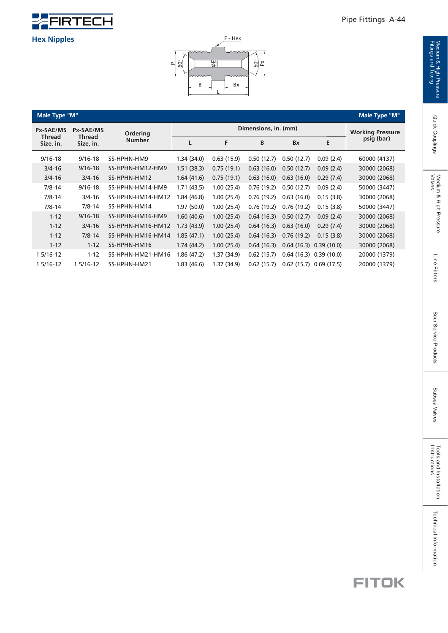



#### **Male Type "M"**

|                                      | Male Type "M"<br>Male Type "M" |                   |               |                      |            |            |            |              |            |
|--------------------------------------|--------------------------------|-------------------|---------------|----------------------|------------|------------|------------|--------------|------------|
| <b>Px-SAE/MS</b><br><b>Px-SAE/MS</b> |                                | Ordering          |               | Dimensions, in. (mm) |            |            |            |              |            |
| <b>Thread</b><br>Size, in.           | Size, in.                      | <b>Thread</b>     | <b>Number</b> | L                    | F          | B          | <b>B</b> x | E            | psig (bar) |
| $9/16 - 18$                          | $9/16 - 18$                    | SS-HPHN-HM9       | 1.34 (34.0)   | 0.63(15.9)           | 0.50(12.7) | 0.50(12.7) | 0.09(2.4)  | 60000 (4137) |            |
| $3/4 - 16$                           | $9/16 - 18$                    | SS-HPHN-HM12-HM9  | 1.51(38.3)    | 0.75(19.1)           | 0.63(16.0) | 0.50(12.7) | 0.09(2.4)  | 30000 (2068) |            |
| $3/4 - 16$                           | $3/4 - 16$                     | SS-HPHN-HM12      | 1.64(41.6)    | 0.75(19.1)           | 0.63(16.0) | 0.63(16.0) | 0.29(7.4)  | 30000 (2068) |            |
| $7/8 - 14$                           | $9/16 - 18$                    | SS-HPHN-HM14-HM9  | 1.71(43.5)    | 1.00(25.4)           | 0.76(19.2) | 0.50(12.7) | 0.09(2.4)  | 50000 (3447) |            |
| $7/8 - 14$                           | $3/4 - 16$                     | SS-HPHN-HM14-HM12 | 1.84 (46.8)   | 1.00(25.4)           | 0.76(19.2) | 0.63(16.0) | 0.15(3.8)  | 30000 (2068) |            |
| $7/8 - 14$                           | $7/8 - 14$                     | SS-HPHN-HM14      | 1.97(50.0)    | 1.00(25.4)           | 0.76(19.2) | 0.76(19.2) | 0.15(3.8)  | 50000 (3447) |            |
| $1 - 12$                             | $9/16 - 18$                    | SS-HPHN-HM16-HM9  | 1.60(40.6)    | 1.00(25.4)           | 0.64(16.3) | 0.50(12.7) | 0.09(2.4)  | 30000 (2068) |            |
| $1 - 12$                             | $3/4 - 16$                     | SS-HPHN-HM16-HM12 | 1.73 (43.9)   | 1.00(25.4)           | 0.64(16.3) | 0.63(16.0) | 0.29(7.4)  | 30000 (2068) |            |
| $1 - 12$                             | $7/8 - 14$                     | SS-HPHN-HM16-HM14 | 1.85 (47.1)   | 1.00(25.4)           | 0.64(16.3) | 0.76(19.2) | 0.15(3.8)  | 30000 (2068) |            |
| $1 - 12$                             | $1 - 12$                       | SS-HPHN-HM16      | 1.74(44.2)    | 1.00(25.4)           | 0.64(16.3) | 0.64(16.3) | 0.39(10.0) | 30000 (2068) |            |
| 1 5/16-12                            | $1 - 12$                       | SS-HPHN-HM21-HM16 | 1.86 (47.2)   | 1.37 (34.9)          | 0.62(15.7) | 0.64(16.3) | 0.39(10.0) | 20000 (1379) |            |
| 1 5/16-12                            | 1 5/16-12                      | SS-HPHN-HM21      | 1.83(46.6)    | 1.37 (34.9)          | 0.62(15.7) | 0.62(15.7) | 0.69(17.5) | 20000 (1379) |            |

Quick Couplings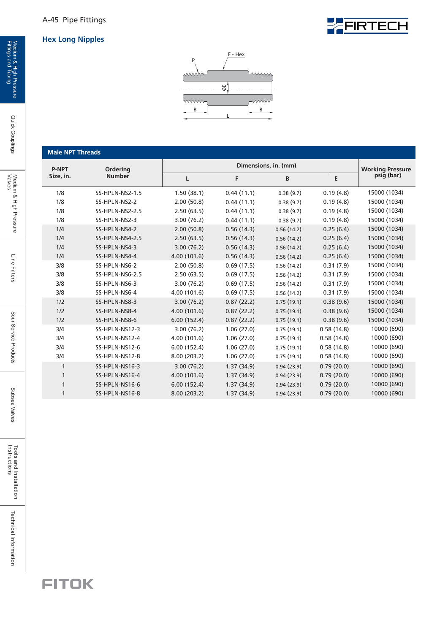#### **Hex Long Nipples**





#### **Male NPT Threads**

| are it it is the case |                 |              |            |                      |            |                         |
|-----------------------|-----------------|--------------|------------|----------------------|------------|-------------------------|
| <b>P-NPT</b>          | Ordering        |              |            | Dimensions, in. (mm) |            | <b>Working Pressure</b> |
| Size, in.             | <b>Number</b>   | L            | F          | B                    | E          | psig (bar)              |
| 1/8                   | SS-HPLN-NS2-1.5 | 1.50(38.1)   | 0.44(11.1) | 0.38(9.7)            | 0.19(4.8)  | 15000 (1034)            |
| 1/8                   | SS-HPLN-NS2-2   | 2.00(50.8)   | 0.44(11.1) | 0.38(9.7)            | 0.19(4.8)  | 15000 (1034)            |
| 1/8                   | SS-HPLN-NS2-2.5 | 2.50(63.5)   | 0.44(11.1) | 0.38(9.7)            | 0.19(4.8)  | 15000 (1034)            |
| 1/8                   | SS-HPLN-NS2-3   | 3.00(76.2)   | 0.44(11.1) | 0.38(9.7)            | 0.19(4.8)  | 15000 (1034)            |
| 1/4                   | SS-HPLN-NS4-2   | 2.00(50.8)   | 0.56(14.3) | 0.56(14.2)           | 0.25(6.4)  | 15000 (1034)            |
| 1/4                   | SS-HPLN-NS4-2.5 | 2.50(63.5)   | 0.56(14.3) | 0.56(14.2)           | 0.25(6.4)  | 15000 (1034)            |
| 1/4                   | SS-HPLN-NS4-3   | 3.00(76.2)   | 0.56(14.3) | 0.56(14.2)           | 0.25(6.4)  | 15000 (1034)            |
| 1/4                   | SS-HPLN-NS4-4   | 4.00 (101.6) | 0.56(14.3) | 0.56(14.2)           | 0.25(6.4)  | 15000 (1034)            |
| 3/8                   | SS-HPLN-NS6-2   | 2.00(50.8)   | 0.69(17.5) | 0.56(14.2)           | 0.31(7.9)  | 15000 (1034)            |
| 3/8                   | SS-HPLN-NS6-2.5 | 2.50(63.5)   | 0.69(17.5) | 0.56(14.2)           | 0.31(7.9)  | 15000 (1034)            |
| 3/8                   | SS-HPLN-NS6-3   | 3.00(76.2)   | 0.69(17.5) | 0.56(14.2)           | 0.31(7.9)  | 15000 (1034)            |
| 3/8                   | SS-HPLN-NS6-4   | 4.00 (101.6) | 0.69(17.5) | 0.56(14.2)           | 0.31(7.9)  | 15000 (1034)            |
| 1/2                   | SS-HPLN-NS8-3   | 3.00(76.2)   | 0.87(22.2) | 0.75(19.1)           | 0.38(9.6)  | 15000 (1034)            |
| 1/2                   | SS-HPLN-NS8-4   | 4.00 (101.6) | 0.87(22.2) | 0.75(19.1)           | 0.38(9.6)  | 15000 (1034)            |
| 1/2                   | SS-HPLN-NS8-6   | 6.00(152.4)  | 0.87(22.2) | 0.75(19.1)           | 0.38(9.6)  | 15000 (1034)            |
| 3/4                   | SS-HPLN-NS12-3  | 3.00(76.2)   | 1.06(27.0) | 0.75(19.1)           | 0.58(14.8) | 10000 (690)             |
| 3/4                   | SS-HPLN-NS12-4  | 4.00 (101.6) | 1.06(27.0) | 0.75(19.1)           | 0.58(14.8) | 10000 (690)             |
| 3/4                   | SS-HPLN-NS12-6  | 6.00(152.4)  | 1.06(27.0) | 0.75(19.1)           | 0.58(14.8) | 10000 (690)             |
| 3/4                   | SS-HPLN-NS12-8  | 8.00 (203.2) | 1.06(27.0) | 0.75(19.1)           | 0.58(14.8) | 10000 (690)             |
| $\mathbf{1}$          | SS-HPLN-NS16-3  | 3.00(76.2)   | 1.37(34.9) | 0.94(23.9)           | 0.79(20.0) | 10000 (690)             |
| $\mathbf{1}$          | SS-HPLN-NS16-4  | 4.00 (101.6) | 1.37(34.9) | 0.94(23.9)           | 0.79(20.0) | 10000 (690)             |
| $\mathbf{1}$          | SS-HPLN-NS16-6  | 6.00(152.4)  | 1.37(34.9) | 0.94(23.9)           | 0.79(20.0) | 10000 (690)             |
| 1                     | SS-HPLN-NS16-8  | 8.00 (203.2) | 1.37(34.9) | 0.94(23.9)           | 0.79(20.0) | 10000 (690)             |
|                       |                 |              |            |                      |            |                         |

Quick Couplings

Technical Information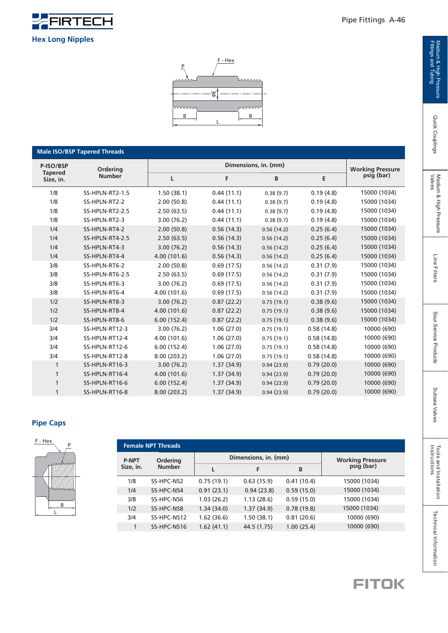

**Hex Long Nipples**

**Male ISO/BSP Tapered Threads**

**Ordering Number**

1/8 1/8 1/8 1/8 1/4 1/4 1/4 1/4 3/8 3/8 3/8 3/8

**Tapered Size, in.** **Working Pressure psig (bar**)

 $\overline{\phantom{0}}$ 

| SS-HPLN-RT2-1.5 | 1.50(38.1)   | 0.44(11.1) | 0.38(9.7)  | 0.19(4.8)  | 15000 (1034) |
|-----------------|--------------|------------|------------|------------|--------------|
| SS-HPLN-RT2-2   | 2.00(50.8)   | 0.44(11.1) | 0.38(9.7)  | 0.19(4.8)  | 15000 (1034) |
| SS-HPLN-RT2-2.5 | 2.50(63.5)   | 0.44(11.1) | 0.38(9.7)  | 0.19(4.8)  | 15000 (1034) |
| SS-HPLN-RT2-3   | 3.00(76.2)   | 0.44(11.1) | 0.38(9.7)  | 0.19(4.8)  | 15000 (1034) |
| SS-HPLN-RT4-2   | 2.00(50.8)   | 0.56(14.3) | 0.56(14.2) | 0.25(6.4)  | 15000 (1034) |
| SS-HPLN-RT4-2.5 | 2.50(63.5)   | 0.56(14.3) | 0.56(14.2) | 0.25(6.4)  | 15000 (1034) |
| SS-HPLN-RT4-3   | 3.00(76.2)   | 0.56(14.3) | 0.56(14.2) | 0.25(6.4)  | 15000 (1034) |
| SS-HPLN-RT4-4   | 4.00 (101.6) | 0.56(14.3) | 0.56(14.2) | 0.25(6.4)  | 15000 (1034) |
| SS-HPLN-RT6-2   | 2.00(50.8)   | 0.69(17.5) | 0.56(14.2) | 0.31(7.9)  | 15000 (1034) |
| SS-HPLN-RT6-2.5 | 2.50(63.5)   | 0.69(17.5) | 0.56(14.2) | 0.31(7.9)  | 15000 (1034) |
| SS-HPLN-RT6-3   | 3.00(76.2)   | 0.69(17.5) | 0.56(14.2) | 0.31(7.9)  | 15000 (1034) |
| SS-HPLN-RT6-4   | 4.00 (101.6) | 0.69(17.5) | 0.56(14.2) | 0.31(7.9)  | 15000 (1034) |
| SS-HPLN-RT8-3   | 3.00(76.2)   | 0.87(22.2) | 0.75(19.1) | 0.38(9.6)  | 15000 (1034) |
| SS-HPLN-RT8-4   | 4.00 (101.6) | 0.87(22.2) | 0.75(19.1) | 0.38(9.6)  | 15000 (1034) |
| SS-HPLN-RT8-6   | 6.00(152.4)  | 0.87(22.2) | 0.75(19.1) | 0.38(9.6)  | 15000 (1034) |
| SS-HPLN-RT12-3  | 3.00(76.2)   | 1.06(27.0) | 0.75(19.1) | 0.58(14.8) | 10000 (690)  |
| SS-HPLN-RT12-4  | 4.00 (101.6) | 1.06(27.0) | 0.75(19.1) | 0.58(14.8) | 10000 (690)  |
| SS-HPLN-RT12-6  | 6.00(152.4)  | 1.06(27.0) | 0.75(19.1) | 0.58(14.8) | 10000 (690)  |
| SS-HPLN-RT12-8  | 8.00 (203.2) | 1.06(27.0) | 0.75(19.1) | 0.58(14.8) | 10000 (690)  |
| SS-HPLN-RT16-3  | 3.00(76.2)   | 1.37(34.9) | 0.94(23.9) | 0.79(20.0) | 10000 (690)  |
| SS-HPLN-RT16-4  | 4.00 (101.6) | 1.37(34.9) | 0.94(23.9) | 0.79(20.0) | 10000 (690)  |

L

**B** B

 $\frac{1}{\alpha}$ 

 $F - Hex$ 

Lumm

1.37 (34.9)

1.37 (34.9)

**L**

P

ww.

**P-ISO/BSP - Outsing <b>- 1 Dimensions, in. (mm) Dimensions**, **in.** (mm)

6.00 (152.4)

8.00 (203.2)

**F E**

**B**

#### **Pipe Caps**

3/4

 $1/2$  $1/2$  $1/2$ 

3/4

3/4

3/4

1

1

1

1

SS-HPLN-RT16-6

SS-HPLN-RT16-8



|              | <b>Female NPT Threads</b> |            |                      |                                        |              |  |  |  |  |  |
|--------------|---------------------------|------------|----------------------|----------------------------------------|--------------|--|--|--|--|--|
| <b>P-NPT</b> | Ordering                  |            | Dimensions, in. (mm) | <b>Working Pressure<br/>psig (bar)</b> |              |  |  |  |  |  |
| Size, in.    | <b>Number</b>             |            | F                    | В                                      |              |  |  |  |  |  |
| 1/8          | SS-HPC-NS2                | 0.75(19.1) | 0.63(15.9)           | 0.41(10.4)                             | 15000 (1034) |  |  |  |  |  |
| 1/4          | SS-HPC-NS4                | 0.91(23.1) | 0.94(23.8)           | 0.59(15.0)                             | 15000 (1034) |  |  |  |  |  |
| 3/8          | SS-HPC-NS6                | 1.03(26.2) | 1.13(28.6)           | 0.59(15.0)                             | 15000 (1034) |  |  |  |  |  |
| 1/2          | SS-HPC-NS8                | 1.34(34.0) | 1.37(34.9)           | 0.78(19.8)                             | 15000 (1034) |  |  |  |  |  |
| 3/4          | SS-HPC-NS12               | 1.62(36.6) | 1.50(38.1)           | 0.81(20.6)                             | 10000 (690)  |  |  |  |  |  |
| 1            | SS-HPC-NS16               | 1.62(41.1) | 44.5 (1.75)          | 1.00(25.4)                             | 10000 (690)  |  |  |  |  |  |
|              |                           |            |                      |                                        |              |  |  |  |  |  |

 $0.94(23.9)$ 

0.94 (23.9)

0.79 (20.0)

0.79 (20.0)



10000 (690)

10000 (690)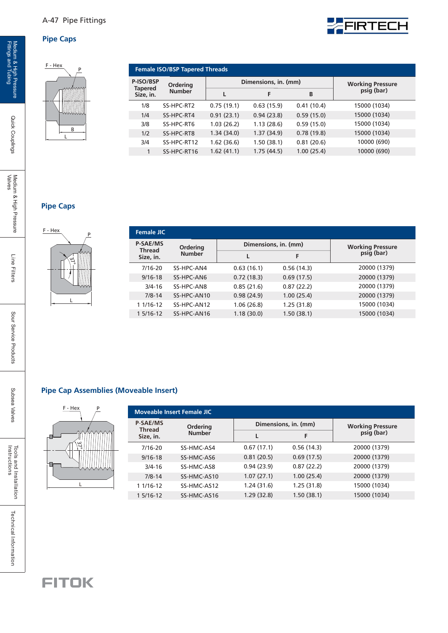#### A-47 Pipe Fittings

#### **Pipe Caps**

## B L P

| <b>Female ISO/BSP Tapered Threads</b> |                 |             |                      |            |                                        |
|---------------------------------------|-----------------|-------------|----------------------|------------|----------------------------------------|
| P-ISO/BSP<br><b>Tapered</b>           | <b>Ordering</b> |             | Dimensions, in. (mm) |            | <b>Working Pressure<br/>psig (bar)</b> |
| Size, in.                             | <b>Number</b>   |             |                      | B          |                                        |
| 1/8                                   | SS-HPC-RT2      | 0.75(19.1)  | 0.63(15.9)           | 0.41(10.4) | 15000 (1034)                           |
| 1/4                                   | SS-HPC-RT4      | 0.91(23.1)  | 0.94(23.8)           | 0.59(15.0) | 15000 (1034)                           |
| 3/8                                   | SS-HPC-RT6      | 1.03(26.2)  | 1.13(28.6)           | 0.59(15.0) | 15000 (1034)                           |
| 1/2                                   | SS-HPC-RT8      | 1.34(34.0)  | 1.37(34.9)           | 0.78(19.8) | 15000 (1034)                           |
| 3/4                                   | SS-HPC-RT12     | 1.62 (36.6) | 1.50(38.1)           | 0.81(20.6) | 10000 (690)                            |
|                                       | SS-HPC-RT16     | 1.62(41.1)  | 1.75(44.5)           | 1.00(25.4) | 10000 (690)                            |
|                                       |                 |             |                      |            |                                        |

**EFIRTECH** 

#### **Pipe Caps**



| Ordering      |            |            | <b>Working Pressure<br/>psig (bar)</b> |
|---------------|------------|------------|----------------------------------------|
| <b>Number</b> | L          | F          |                                        |
| SS-HPC-AN4    | 0.63(16.1) | 0.56(14.3) | 20000 (1379)                           |
| SS-HPC-AN6    | 0.72(18.3) | 0.69(17.5) | 20000 (1379)                           |
| SS-HPC-AN8    | 0.85(21.6) | 0.87(22.2) | 20000 (1379)                           |
| SS-HPC-AN10   | 0.98(24.9) | 1.00(25.4) | 20000 (1379)                           |
| SS-HPC-AN12   | 1.06(26.8) | 1.25(31.8) | 15000 (1034)                           |
| SS-HPC-AN16   | 1.18(30.0) | 1.50(38.1) | 15000 (1034)                           |
|               |            |            | Dimensions, in. (mm)                   |

#### **Pipe Cap Assemblies (Moveable Insert)**



| F - Hex<br>D   |                                  | <b>Moveable Insert Female JIC</b> |             |            |                         |
|----------------|----------------------------------|-----------------------------------|-------------|------------|-------------------------|
|                | <b>P-SAE/MS</b><br><b>Thread</b> | Dimensions, in. (mm)<br>Ordering  |             |            | <b>Working Pressure</b> |
| <u>AMMMMMN</u> | Size, in.                        | <b>Number</b>                     |             |            | psig (bar)              |
| ئا             | 7/16-20                          | SS-HMC-AS4                        | 0.67(17.1)  | 0.56(14.3) | 20000 (1379)            |
|                | $9/16 - 18$                      | SS-HMC-AS6                        | 0.81(20.5)  | 0.69(17.5) | 20000 (1379)            |
| <b>WWWWW</b>   | $3/4 - 16$                       | SS-HMC-AS8                        | 0.94(23.9)  | 0.87(22.2) | 20000 (1379)            |
|                | $7/8 - 14$                       | SS-HMC-AS10                       | 1.07(27.1)  | 1.00(25.4) | 20000 (1379)            |
|                | 1 1/16-12                        | SS-HMC-AS12                       | 1.24(31.6)  | 1.25(31.8) | 15000 (1034)            |
|                | 1 5/16-12                        | SS-HMC-AS16                       | 1.29 (32.8) | 1.50(38.1) | 15000 (1034)            |

Line Filters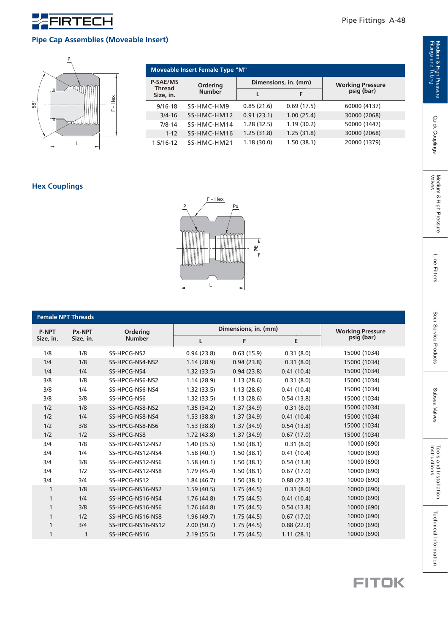

#### **Pipe Cap Assemblies (Moveable Insert)**



| Moveable Insert Female Type "M"  |               |                      |            |                                        |  |  |  |  |  |
|----------------------------------|---------------|----------------------|------------|----------------------------------------|--|--|--|--|--|
| <b>P-SAE/MS</b><br><b>Thread</b> | Ordering      | Dimensions, in. (mm) |            | <b>Working Pressure<br/>psig (bar)</b> |  |  |  |  |  |
| Size, in.                        | <b>Number</b> |                      | F          |                                        |  |  |  |  |  |
| $9/16 - 18$                      | SS-HMC-HM9    | 0.85(21.6)           | 0.69(17.5) | 60000 (4137)                           |  |  |  |  |  |
| $3/4 - 16$                       | SS-HMC-HM12   | 0.91(23.1)           | 1.00(25.4) | 30000 (2068)                           |  |  |  |  |  |
| $7/8 - 14$                       | SS-HMC-HM14   | 1.28(32.5)           | 1.19(30.2) | 50000 (3447)                           |  |  |  |  |  |
| $1 - 12$                         | SS-HMC-HM16   | 1.25(31.8)           | 1.25(31.8) | 30000 (2068)                           |  |  |  |  |  |
| 1 5/16-12                        | SS-HMC-HM21   | 1.18(30.0)           | 1.50(38.1) | 20000 (1379)                           |  |  |  |  |  |

#### **Hex Couplings**



|              | <b>Female NPT Threads</b> |                   |            |                      |            |                         |  |  |  |  |
|--------------|---------------------------|-------------------|------------|----------------------|------------|-------------------------|--|--|--|--|
| <b>P-NPT</b> | Px-NPT                    | Ordering          |            | Dimensions, in. (mm) |            | <b>Working Pressure</b> |  |  |  |  |
| Size, in.    | Size, in.                 | <b>Number</b>     | L          | F                    | E          | psig (bar)              |  |  |  |  |
| 1/8          | 1/8                       | SS-HPCG-NS2       | 0.94(23.8) | 0.63(15.9)           | 0.31(8.0)  | 15000 (1034)            |  |  |  |  |
| 1/4          | 1/8                       | SS-HPCG-NS4-NS2   | 1.14(28.9) | 0.94(23.8)           | 0.31(8.0)  | 15000 (1034)            |  |  |  |  |
| 1/4          | 1/4                       | SS-HPCG-NS4       | 1.32(33.5) | 0.94(23.8)           | 0.41(10.4) | 15000 (1034)            |  |  |  |  |
| 3/8          | 1/8                       | SS-HPCG-NS6-NS2   | 1.14(28.9) | 1.13(28.6)           | 0.31(8.0)  | 15000 (1034)            |  |  |  |  |
| 3/8          | 1/4                       | SS-HPCG-NS6-NS4   | 1.32(33.5) | 1.13(28.6)           | 0.41(10.4) | 15000 (1034)            |  |  |  |  |
| 3/8          | 3/8                       | SS-HPCG-NS6       | 1.32(33.5) | 1.13(28.6)           | 0.54(13.8) | 15000 (1034)            |  |  |  |  |
| 1/2          | 1/8                       | SS-HPCG-NS8-NS2   | 1.35(34.2) | 1.37(34.9)           | 0.31(8.0)  | 15000 (1034)            |  |  |  |  |
| 1/2          | 1/4                       | SS-HPCG-NS8-NS4   | 1.53(38.8) | 1.37(34.9)           | 0.41(10.4) | 15000 (1034)            |  |  |  |  |
| 1/2          | 3/8                       | SS-HPCG-NS8-NS6   | 1.53(38.8) | 1.37(34.9)           | 0.54(13.8) | 15000 (1034)            |  |  |  |  |
| 1/2          | 1/2                       | SS-HPCG-NS8       | 1.72(43.8) | 1.37(34.9)           | 0.67(17.0) | 15000 (1034)            |  |  |  |  |
| 3/4          | 1/8                       | SS-HPCG-NS12-NS2  | 1.40(35.5) | 1.50(38.1)           | 0.31(8.0)  | 10000 (690)             |  |  |  |  |
| 3/4          | 1/4                       | SS-HPCG-NS12-NS4  | 1.58(40.1) | 1.50(38.1)           | 0.41(10.4) | 10000 (690)             |  |  |  |  |
| 3/4          | 3/8                       | SS-HPCG-NS12-NS6  | 1.58(40.1) | 1.50(38.1)           | 0.54(13.8) | 10000 (690)             |  |  |  |  |
| 3/4          | 1/2                       | SS-HPCG-NS12-NS8  | 1.79(45.4) | 1.50(38.1)           | 0.67(17.0) | 10000 (690)             |  |  |  |  |
| 3/4          | 3/4                       | SS-HPCG-NS12      | 1.84(46.7) | 1.50(38.1)           | 0.88(22.3) | 10000 (690)             |  |  |  |  |
| 1            | 1/8                       | SS-HPCG-NS16-NS2  | 1.59(40.5) | 1.75(44.5)           | 0.31(8.0)  | 10000 (690)             |  |  |  |  |
| 1            | 1/4                       | SS-HPCG-NS16-NS4  | 1.76(44.8) | 1.75(44.5)           | 0.41(10.4) | 10000 (690)             |  |  |  |  |
| 1            | 3/8                       | SS-HPCG-NS16-NS6  | 1.76(44.8) | 1.75(44.5)           | 0.54(13.8) | 10000 (690)             |  |  |  |  |
| 1            | 1/2                       | SS-HPCG-NS16-NS8  | 1.96(49.7) | 1.75(44.5)           | 0.67(17.0) | 10000 (690)             |  |  |  |  |
| 1            | 3/4                       | SS-HPCG-NS16-NS12 | 2.00(50.7) | 1.75(44.5)           | 0.88(22.3) | 10000 (690)             |  |  |  |  |
| 1            | 1                         | SS-HPCG-NS16      | 2.19(55.5) | 1.75(44.5)           | 1.11(28.1) | 10000 (690)             |  |  |  |  |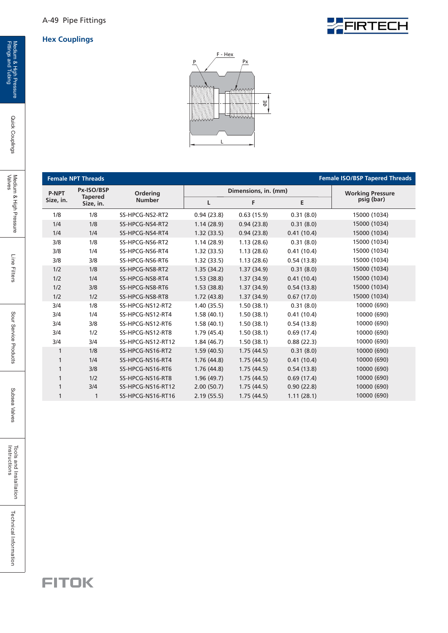#### **Hex Couplings**





|              | <b>Female NPT Threads</b>   |                   |            |                      |            | <b>Female ISO/BSP Tapered Threads</b> |  |  |  |
|--------------|-----------------------------|-------------------|------------|----------------------|------------|---------------------------------------|--|--|--|
| <b>P-NPT</b> | Px-ISO/BSP                  | Ordering          |            | Dimensions, in. (mm) |            | <b>Working Pressure</b>               |  |  |  |
| Size, in.    | <b>Tapered</b><br>Size, in. | <b>Number</b>     | L          | Е<br>F               |            | psig (bar)                            |  |  |  |
| 1/8          | 1/8                         | SS-HPCG-NS2-RT2   | 0.94(23.8) | 0.63(15.9)           | 0.31(8.0)  | 15000 (1034)                          |  |  |  |
| 1/4          | 1/8                         | SS-HPCG-NS4-RT2   | 1.14(28.9) | 0.94(23.8)           | 0.31(8.0)  | 15000 (1034)                          |  |  |  |
| 1/4          | 1/4                         | SS-HPCG-NS4-RT4   | 1.32(33.5) | 0.94(23.8)           | 0.41(10.4) | 15000 (1034)                          |  |  |  |
| 3/8          | 1/8                         | SS-HPCG-NS6-RT2   | 1.14(28.9) | 1.13(28.6)           | 0.31(8.0)  | 15000 (1034)                          |  |  |  |
| 3/8          | 1/4                         | SS-HPCG-NS6-RT4   | 1.32(33.5) | 1.13(28.6)           | 0.41(10.4) | 15000 (1034)                          |  |  |  |
| 3/8          | 3/8                         | SS-HPCG-NS6-RT6   | 1.32(33.5) | 1.13(28.6)           | 0.54(13.8) | 15000 (1034)                          |  |  |  |
| 1/2          | 1/8                         | SS-HPCG-NS8-RT2   | 1.35(34.2) | 1.37(34.9)           | 0.31(8.0)  | 15000 (1034)                          |  |  |  |
| 1/2          | 1/4                         | SS-HPCG-NS8-RT4   | 1.53(38.8) | 1.37(34.9)           | 0.41(10.4) | 15000 (1034)                          |  |  |  |
| 1/2          | 3/8                         | SS-HPCG-NS8-RT6   | 1.53(38.8) | 1.37(34.9)           | 0.54(13.8) | 15000 (1034)                          |  |  |  |
| 1/2          | 1/2                         | SS-HPCG-NS8-RT8   | 1.72(43.8) | 1.37(34.9)           | 0.67(17.0) | 15000 (1034)                          |  |  |  |
| 3/4          | 1/8                         | SS-HPCG-NS12-RT2  | 1.40(35.5) | 1.50(38.1)           | 0.31(8.0)  | 10000 (690)                           |  |  |  |
| 3/4          | 1/4                         | SS-HPCG-NS12-RT4  | 1.58(40.1) | 1.50(38.1)           | 0.41(10.4) | 10000 (690)                           |  |  |  |
| 3/4          | 3/8                         | SS-HPCG-NS12-RT6  | 1.58(40.1) | 1.50(38.1)           | 0.54(13.8) | 10000 (690)                           |  |  |  |
| 3/4          | 1/2                         | SS-HPCG-NS12-RT8  | 1.79(45.4) | 1.50(38.1)           | 0.69(17.4) | 10000 (690)                           |  |  |  |
| 3/4          | 3/4                         | SS-HPCG-NS12-RT12 | 1.84(46.7) | 1.50(38.1)           | 0.88(22.3) | 10000 (690)                           |  |  |  |
| $\mathbf{1}$ | 1/8                         | SS-HPCG-NS16-RT2  | 1.59(40.5) | 1.75(44.5)           | 0.31(8.0)  | 10000 (690)                           |  |  |  |
| $\mathbf{1}$ | 1/4                         | SS-HPCG-NS16-RT4  | 1.76(44.8) | 1.75(44.5)           | 0.41(10.4) | 10000 (690)                           |  |  |  |
| $\mathbf{1}$ | 3/8                         | SS-HPCG-NS16-RT6  | 1.76(44.8) | 1.75(44.5)           | 0.54(13.8) | 10000 (690)                           |  |  |  |
| $\mathbf{1}$ | 1/2                         | SS-HPCG-NS16-RT8  | 1.96(49.7) | 1.75(44.5)           | 0.69(17.4) | 10000 (690)                           |  |  |  |
| 1            | 3/4                         | SS-HPCG-NS16-RT12 | 2.00(50.7) | 1.75(44.5)           | 0.90(22.8) | 10000 (690)                           |  |  |  |
| 1            | 1                           | SS-HPCG-NS16-RT16 | 2.19(55.5) | 1.75(44.5)           | 1.11(28.1) | 10000 (690)                           |  |  |  |

Quick Couplings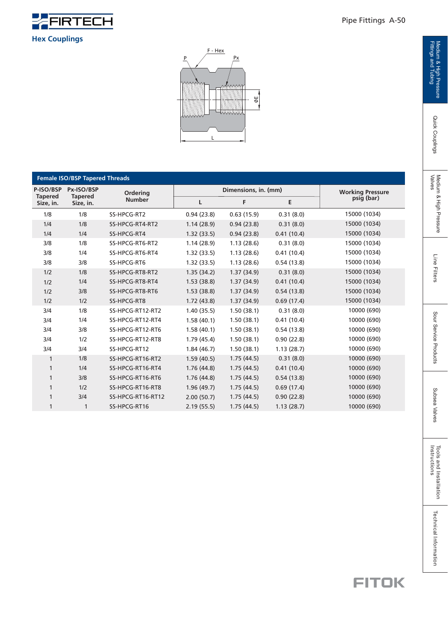

#### **Hex Couplings**



|                             | <b>Female ISO/BSP Tapered Threads</b> |                   |            |                      |                         |              |  |  |  |  |
|-----------------------------|---------------------------------------|-------------------|------------|----------------------|-------------------------|--------------|--|--|--|--|
| P-ISO/BSP                   | Px-ISO/BSP                            | Ordering          |            | Dimensions, in. (mm) | <b>Working Pressure</b> |              |  |  |  |  |
| <b>Tapered</b><br>Size, in. | <b>Tapered</b><br>Size, in.           | <b>Number</b>     | L          | F                    | Е                       | psig (bar)   |  |  |  |  |
| 1/8                         | 1/8                                   | SS-HPCG-RT2       | 0.94(23.8) | 0.63(15.9)           | 0.31(8.0)               | 15000 (1034) |  |  |  |  |
| 1/4                         | 1/8                                   | SS-HPCG-RT4-RT2   | 1.14(28.9) | 0.94(23.8)           | 0.31(8.0)               | 15000 (1034) |  |  |  |  |
| 1/4                         | 1/4                                   | SS-HPCG-RT4       | 1.32(33.5) | 0.94(23.8)           | 0.41(10.4)              | 15000 (1034) |  |  |  |  |
| 3/8                         | 1/8                                   | SS-HPCG-RT6-RT2   | 1.14(28.9) | 1.13(28.6)           | 0.31(8.0)               | 15000 (1034) |  |  |  |  |
| 3/8                         | 1/4                                   | SS-HPCG-RT6-RT4   | 1.32(33.5) | 1.13(28.6)           | 0.41(10.4)              | 15000 (1034) |  |  |  |  |
| 3/8                         | 3/8                                   | SS-HPCG-RT6       | 1.32(33.5) | 1.13(28.6)           | 0.54(13.8)              | 15000 (1034) |  |  |  |  |
| 1/2                         | 1/8                                   | SS-HPCG-RT8-RT2   | 1.35(34.2) | 1.37(34.9)           | 0.31(8.0)               | 15000 (1034) |  |  |  |  |
| 1/2                         | 1/4                                   | SS-HPCG-RT8-RT4   | 1.53(38.8) | 1.37(34.9)           | 0.41(10.4)              | 15000 (1034) |  |  |  |  |
| 1/2                         | 3/8                                   | SS-HPCG-RT8-RT6   | 1.53(38.8) | 1.37(34.9)           | 0.54(13.8)              | 15000 (1034) |  |  |  |  |
| 1/2                         | 1/2                                   | SS-HPCG-RT8       | 1.72(43.8) | 1.37 (34.9)          | 0.69(17.4)              | 15000 (1034) |  |  |  |  |
| 3/4                         | 1/8                                   | SS-HPCG-RT12-RT2  | 1.40(35.5) | 1.50(38.1)           | 0.31(8.0)               | 10000 (690)  |  |  |  |  |
| 3/4                         | 1/4                                   | SS-HPCG-RT12-RT4  | 1.58(40.1) | 1.50(38.1)           | 0.41(10.4)              | 10000 (690)  |  |  |  |  |
| 3/4                         | 3/8                                   | SS-HPCG-RT12-RT6  | 1.58(40.1) | 1.50(38.1)           | 0.54(13.8)              | 10000 (690)  |  |  |  |  |
| 3/4                         | 1/2                                   | SS-HPCG-RT12-RT8  | 1.79(45.4) | 1.50(38.1)           | 0.90(22.8)              | 10000 (690)  |  |  |  |  |
| 3/4                         | 3/4                                   | SS-HPCG-RT12      | 1.84(46.7) | 1.50(38.1)           | 1.13(28.7)              | 10000 (690)  |  |  |  |  |
| $\mathbf{1}$                | 1/8                                   | SS-HPCG-RT16-RT2  | 1.59(40.5) | 1.75(44.5)           | 0.31(8.0)               | 10000 (690)  |  |  |  |  |
| 1                           | 1/4                                   | SS-HPCG-RT16-RT4  | 1.76(44.8) | 1.75(44.5)           | 0.41(10.4)              | 10000 (690)  |  |  |  |  |
| 1                           | 3/8                                   | SS-HPCG-RT16-RT6  | 1.76(44.8) | 1.75(44.5)           | 0.54(13.8)              | 10000 (690)  |  |  |  |  |
| 1                           | 1/2                                   | SS-HPCG-RT16-RT8  | 1.96(49.7) | 1.75(44.5)           | 0.69(17.4)              | 10000 (690)  |  |  |  |  |
| 1                           | 3/4                                   | SS-HPCG-RT16-RT12 | 2.00(50.7) | 1.75(44.5)           | 0.90(22.8)              | 10000 (690)  |  |  |  |  |
| 1                           | 1                                     | SS-HPCG-RT16      | 2.19(55.5) | 1.75(44.5)           | 1.13(28.7)              | 10000 (690)  |  |  |  |  |

Quick Couplings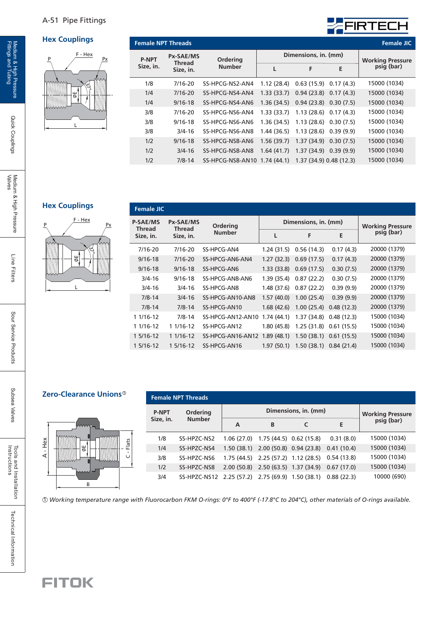#### A-51 Pipe Fittings

#### **Hex Couplings**



| <b>Female NPT Threads</b> |                            |                              |            |                           |           | <b>Female JIC</b>       |
|---------------------------|----------------------------|------------------------------|------------|---------------------------|-----------|-------------------------|
| <b>P-NPT</b>              | <b>Px-SAE/MS</b><br>Thread | Ordering                     |            | Dimensions, in. (mm)      |           | <b>Working Pressure</b> |
| Size, in.                 | Size, in.                  | <b>Number</b>                |            | F                         | E         | psig (bar)              |
| 1/8                       | 7/16-20                    | SS-HPCG-NS2-AN4              | 1.12(28.4) | 0.63(15.9)                | 0.17(4.3) | 15000 (1034)            |
| 1/4                       | $7/16 - 20$                | SS-HPCG-NS4-AN4              | 1.33(33.7) | 0.94(23.8)                | 0.17(4.3) | 15000 (1034)            |
| 1/4                       | $9/16 - 18$                | SS-HPCG-NS4-AN6              | 1.36(34.5) | $0.94(23.8)$ $0.30(7.5)$  |           | 15000 (1034)            |
| 3/8                       | 7/16-20                    | SS-HPCG-NS6-AN4              | 1.33(33.7) | $1.13(28.6)$ 0.17 $(4.3)$ |           | 15000 (1034)            |
| 3/8                       | $9/16 - 18$                | SS-HPCG-NS6-AN6              | 1.36(34.5) | $1.13(28.6)$ 0.30 (7.5)   |           | 15000 (1034)            |
| 3/8                       | $3/4 - 16$                 | SS-HPCG-NS6-AN8              | 1.44(36.5) | $1.13(28.6)$ 0.39 $(9.9)$ |           | 15000 (1034)            |
| 1/2                       | $9/16 - 18$                | SS-HPCG-NS8-AN6              | 1.56(39.7) | 1.37(34.9)                | 0.30(7.5) | 15000 (1034)            |
| 1/2                       | $3/4 - 16$                 | SS-HPCG-NS8-AN8              | 1.64(41.7) | $1.37(34.9)$ 0.39 (9.9)   |           | 15000 (1034)            |
| 1/2                       | $7/8 - 14$                 | SS-HPCG-NS8-AN10 1.74 (44.1) |            | 1.37 (34.9) 0.48 (12.3)   |           | 15000 (1034)            |

FIRTECH

#### **Hex Couplings**



| <b>Female JIC</b>                |                                   |                   |             |                          |            |                         |
|----------------------------------|-----------------------------------|-------------------|-------------|--------------------------|------------|-------------------------|
| <b>P-SAE/MS</b><br><b>Thread</b> | <b>Px-SAE/MS</b><br><b>Thread</b> | Ordering          |             | Dimensions, in. (mm)     |            | <b>Working Pressure</b> |
| Size, in.                        | Size, in.                         | <b>Number</b>     | L           | F                        | E          | psig (bar)              |
| $7/16 - 20$                      | $7/16 - 20$                       | SS-HPCG-AN4       | 1.24(31.5)  | 0.56(14.3)               | 0.17(4.3)  | 20000 (1379)            |
| $9/16 - 18$                      | $7/16 - 20$                       | SS-HPCG-AN6-AN4   | 1.27(32.3)  | 0.69(17.5)               | 0.17(4.3)  | 20000 (1379)            |
| $9/16 - 18$                      | $9/16 - 18$                       | SS-HPCG-AN6       | 1.33(33.8)  | 0.69(17.5)               | 0.30(7.5)  | 20000 (1379)            |
| $3/4 - 16$                       | $9/16 - 18$                       | SS-HPCG-AN8-AN6   | 1.39(35.4)  | 0.87(22.2)               | 0.30(7.5)  | 20000 (1379)            |
| $3/4 - 16$                       | $3/4 - 16$                        | SS-HPCG-AN8       | 1.48 (37.6) | 0.87(22.2)               | 0.39(9.9)  | 20000 (1379)            |
| $7/8 - 14$                       | $3/4 - 16$                        | SS-HPCG-AN10-AN8  | 1.57(40.0)  | 1.00(25.4)               | 0.39(9.9)  | 20000 (1379)            |
| $7/8 - 14$                       | $7/8 - 14$                        | SS-HPCG-AN10      | 1.68(42.6)  | 1.00(25.4)               | 0.48(12.3) | 20000 (1379)            |
| 1 1/16-12                        | $7/8 - 14$                        | SS-HPCG-AN12-AN10 | 1.74(44.1)  | $1.37(34.8)$ 0.48 (12.3) |            | 15000 (1034)            |
| 1 1/16-12                        | 1 1/16-12                         | SS-HPCG-AN12      | 1.80 (45.8) | 1.25(31.8)               | 0.61(15.5) | 15000 (1034)            |
| 1 5/16-12                        | 1 1/16-12                         | SS-HPCG-AN16-AN12 | 1.89(48.1)  | $1.50(38.1)$ 0.61 (15.5) |            | 15000 (1034)            |
| 1 5/16-12                        | 1 5/16-12                         | SS-HPCG-AN16      | 1.97(50.1)  | 1.50(38.1)               | 0.84(21.4) | 15000 (1034)            |
|                                  |                                   |                   |             |                          |            |                         |

#### **Zero-Clearance Unions** 1



| <b>Female NPT Threads</b> |                                                  |            |                                        |                                                 |            |              |  |  |  |  |  |
|---------------------------|--------------------------------------------------|------------|----------------------------------------|-------------------------------------------------|------------|--------------|--|--|--|--|--|
| <b>P-NPT</b>              | Ordering                                         |            | <b>Working Pressure<br/>psig (bar)</b> |                                                 |            |              |  |  |  |  |  |
| Size, in.                 | <b>Number</b>                                    | A          | B                                      |                                                 | E          |              |  |  |  |  |  |
| 1/8                       | SS-HPZC-NS2                                      | 1.06(27.0) | 1.75 (44.5) 0.62 (15.8)                |                                                 | 0.31(8.0)  | 15000 (1034) |  |  |  |  |  |
| 1/4                       | SS-HPZC-NS4                                      |            | $1.50(38.1)$ $2.00(50.8)$ $0.94(23.8)$ |                                                 | 0.41(10.4) | 15000 (1034) |  |  |  |  |  |
| 3/8                       | SS-HPZC-NS6                                      |            |                                        | 1.75 (44.5) 2.25 (57.2) 1.12 (28.5) 0.54 (13.8) |            | 15000 (1034) |  |  |  |  |  |
| 1/2                       | SS-HPZC-NS8                                      |            |                                        | 2.00 (50.8) 2.50 (63.5) 1.37 (34.9) 0.67 (17.0) |            | 15000 (1034) |  |  |  |  |  |
| 3/4                       | SS-HPZC-NS12 2.25 (57.2) 2.75 (69.9) 1.50 (38.1) |            |                                        |                                                 | 0.88(22.3) | 10000 (690)  |  |  |  |  |  |

1 *Working temperature range with Fluorocarbon FKM O-rings: 0°F to 400°F (-17*.*8°C to 204°C), other materials of O-rings available.*

Quick Couplings

Subsea Valves

Subsea Valves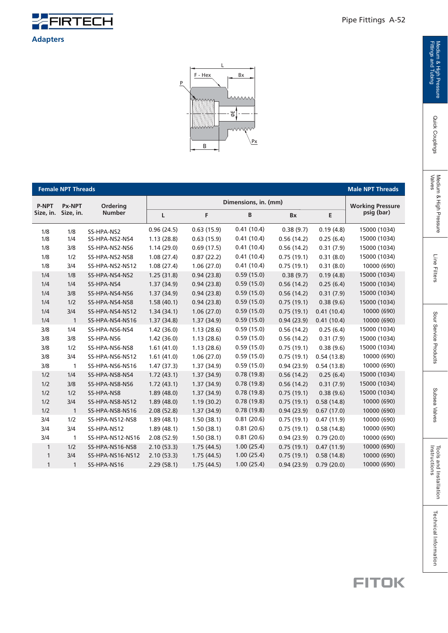



|              | <b>Female NPT Threads</b> |                  |            |                      |            |            |            | <b>Male NPT Threads</b>               |  |  |  |
|--------------|---------------------------|------------------|------------|----------------------|------------|------------|------------|---------------------------------------|--|--|--|
| <b>P-NPT</b> | <b>Px-NPT</b>             | Ordering         |            | Dimensions, in. (mm) |            |            |            |                                       |  |  |  |
| Size, in.    | Size, in.                 | <b>Number</b>    | L          | F.                   | B          | <b>Bx</b>  | E          | <b>Working Pressure</b><br>psig (bar) |  |  |  |
| 1/8          | 1/8                       | SS-HPA-NS2       | 0.96(24.5) | 0.63(15.9)           | 0.41(10.4) | 0.38(9.7)  | 0.19(4.8)  | 15000 (1034)                          |  |  |  |
| 1/8          | 1/4                       | SS-HPA-NS2-NS4   | 1.13(28.8) | 0.63(15.9)           | 0.41(10.4) | 0.56(14.2) | 0.25(6.4)  | 15000 (1034)                          |  |  |  |
| 1/8          | 3/8                       | SS-HPA-NS2-NS6   | 1.14(29.0) | 0.69(17.5)           | 0.41(10.4) | 0.56(14.2) | 0.31(7.9)  | 15000 (1034)                          |  |  |  |
| 1/8          | 1/2                       | SS-HPA-NS2-NS8   | 1.08(27.4) | 0.87(22.2)           | 0.41(10.4) | 0.75(19.1) | 0.31(8.0)  | 15000 (1034)                          |  |  |  |
| 1/8          | 3/4                       | SS-HPA-NS2-NS12  | 1.08(27.4) | 1.06(27.0)           | 0.41(10.4) | 0.75(19.1) | 0.31(8.0)  | 10000 (690)                           |  |  |  |
| 1/4          | 1/8                       | SS-HPA-NS4-NS2   | 1.25(31.8) | 0.94(23.8)           | 0.59(15.0) | 0.38(9.7)  | 0.19(4.8)  | 15000 (1034)                          |  |  |  |
| 1/4          | 1/4                       | SS-HPA-NS4       | 1.37(34.9) | 0.94(23.8)           | 0.59(15.0) | 0.56(14.2) | 0.25(6.4)  | 15000 (1034)                          |  |  |  |
| 1/4          | 3/8                       | SS-HPA-NS4-NS6   | 1.37(34.9) | 0.94(23.8)           | 0.59(15.0) | 0.56(14.2) | 0.31(7.9)  | 15000 (1034)                          |  |  |  |
| 1/4          | 1/2                       | SS-HPA-NS4-NS8   | 1.58(40.1) | 0.94(23.8)           | 0.59(15.0) | 0.75(19.1) | 0.38(9.6)  | 15000 (1034)                          |  |  |  |
| 1/4          | 3/4                       | SS-HPA-NS4-NS12  | 1.34(34.1) | 1.06(27.0)           | 0.59(15.0) | 0.75(19.1) | 0.41(10.4) | 10000 (690)                           |  |  |  |
| 1/4          | $\mathbf{1}$              | SS-HPA-NS4-NS16  | 1.37(34.8) | 1.37(34.9)           | 0.59(15.0) | 0.94(23.9) | 0.41(10.4) | 10000 (690)                           |  |  |  |
| 3/8          | 1/4                       | SS-HPA-NS6-NS4   | 1.42(36.0) | 1.13(28.6)           | 0.59(15.0) | 0.56(14.2) | 0.25(6.4)  | 15000 (1034)                          |  |  |  |
| 3/8          | 3/8                       | SS-HPA-NS6       | 1.42(36.0) | 1.13(28.6)           | 0.59(15.0) | 0.56(14.2) | 0.31(7.9)  | 15000 (1034)                          |  |  |  |
| 3/8          | 1/2                       | SS-HPA-NS6-NS8   | 1.61(41.0) | 1.13(28.6)           | 0.59(15.0) | 0.75(19.1) | 0.38(9.6)  | 15000 (1034)                          |  |  |  |
| 3/8          | 3/4                       | SS-HPA-NS6-NS12  | 1.61(41.0) | 1.06(27.0)           | 0.59(15.0) | 0.75(19.1) | 0.54(13.8) | 10000 (690)                           |  |  |  |
| 3/8          | 1                         | SS-HPA-NS6-NS16  | 1.47(37.3) | 1.37(34.9)           | 0.59(15.0) | 0.94(23.9) | 0.54(13.8) | 10000 (690)                           |  |  |  |
| 1/2          | 1/4                       | SS-HPA-NS8-NS4   | 1.72(43.1) | 1.37(34.9)           | 0.78(19.8) | 0.56(14.2) | 0.25(6.4)  | 15000 (1034)                          |  |  |  |
| 1/2          | 3/8                       | SS-HPA-NS8-NS6   | 1.72(43.1) | 1.37(34.9)           | 0.78(19.8) | 0.56(14.2) | 0.31(7.9)  | 15000 (1034)                          |  |  |  |
| 1/2          | 1/2                       | SS-HPA-NS8       | 1.89(48.0) | 1.37(34.9)           | 0.78(19.8) | 0.75(19.1) | 0.38(9.6)  | 15000 (1034)                          |  |  |  |
| 1/2          | 3/4                       | SS-HPA-NS8-NS12  | 1.89(48.0) | 1.19(30.2)           | 0.78(19.8) | 0.75(19.1) | 0.58(14.8) | 10000 (690)                           |  |  |  |
| 1/2          | $\mathbf{1}$              | SS-HPA-NS8-NS16  | 2.08(52.8) | 1.37(34.9)           | 0.78(19.8) | 0.94(23.9) | 0.67(17.0) | 10000 (690)                           |  |  |  |
| 3/4          | 1/2                       | SS-HPA-NS12-NS8  | 1.89(48.1) | 1.50(38.1)           | 0.81(20.6) | 0.75(19.1) | 0.47(11.9) | 10000 (690)                           |  |  |  |
| 3/4          | 3/4                       | SS-HPA-NS12      | 1.89(48.1) | 1.50(38.1)           | 0.81(20.6) | 0.75(19.1) | 0.58(14.8) | 10000 (690)                           |  |  |  |
| 3/4          | 1                         | SS-HPA-NS12-NS16 | 2.08(52.9) | 1.50(38.1)           | 0.81(20.6) | 0.94(23.9) | 0.79(20.0) | 10000 (690)                           |  |  |  |
| 1            | 1/2                       | SS-HPA-NS16-NS8  | 2.10(53.3) | 1.75(44.5)           | 1.00(25.4) | 0.75(19.1) | 0.47(11.9) | 10000 (690)                           |  |  |  |
| $\mathbf{1}$ | 3/4                       | SS-HPA-NS16-NS12 | 2.10(53.3) | 1.75(44.5)           | 1.00(25.4) | 0.75(19.1) | 0.58(14.8) | 10000 (690)                           |  |  |  |
| $\mathbf{1}$ | 1                         | SS-HPA-NS16      | 2.29(58.1) | 1.75(44.5)           | 1.00(25.4) | 0.94(23.9) | 0.79(20.0) | 10000 (690)                           |  |  |  |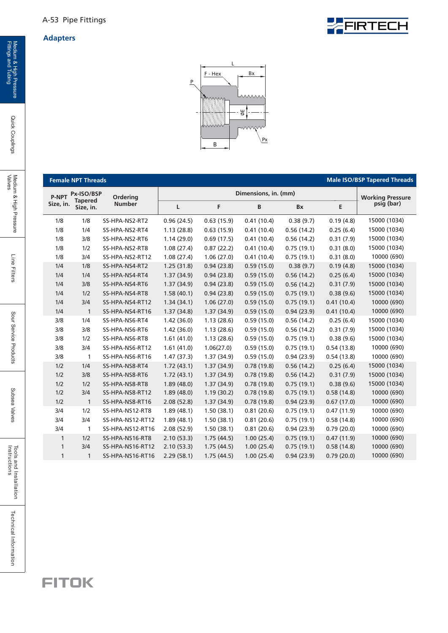

|              | <b>Female NPT Threads</b>    |                  |            |            |                      |            |            | <b>Male ISO/BSP Tapered Threads</b> |
|--------------|------------------------------|------------------|------------|------------|----------------------|------------|------------|-------------------------------------|
| P-NPT        | Px-ISO/BSP<br><b>Tapered</b> | Ordering         |            |            | Dimensions, in. (mm) |            |            | <b>Working Pressure</b>             |
| Size, in.    | Size, in.                    | <b>Number</b>    | Г          | F          | B                    | Bx         | E          | psig (bar)                          |
| 1/8          | 1/8                          | SS-HPA-NS2-RT2   | 0.96(24.5) | 0.63(15.9) | 0.41(10.4)           | 0.38(9.7)  | 0.19(4.8)  | 15000 (1034)                        |
| 1/8          | 1/4                          | SS-HPA-NS2-RT4   | 1.13(28.8) | 0.63(15.9) | 0.41(10.4)           | 0.56(14.2) | 0.25(6.4)  | 15000 (1034)                        |
| 1/8          | 3/8                          | SS-HPA-NS2-RT6   | 1.14(29.0) | 0.69(17.5) | 0.41(10.4)           | 0.56(14.2) | 0.31(7.9)  | 15000 (1034)                        |
| 1/8          | 1/2                          | SS-HPA-NS2-RT8   | 1.08(27.4) | 0.87(22.2) | 0.41(10.4)           | 0.75(19.1) | 0.31(8.0)  | 15000 (1034)                        |
| 1/8          | 3/4                          | SS-HPA-NS2-RT12  | 1.08(27.4) | 1.06(27.0) | 0.41(10.4)           | 0.75(19.1) | 0.31(8.0)  | 10000 (690)                         |
| 1/4          | 1/8                          | SS-HPA-NS4-RT2   | 1.25(31.8) | 0.94(23.8) | 0.59(15.0)           | 0.38(9.7)  | 0.19(4.8)  | 15000 (1034)                        |
| 1/4          | 1/4                          | SS-HPA-NS4-RT4   | 1.37(34.9) | 0.94(23.8) | 0.59(15.0)           | 0.56(14.2) | 0.25(6.4)  | 15000 (1034)                        |
| 1/4          | 3/8                          | SS-HPA-NS4-RT6   | 1.37(34.9) | 0.94(23.8) | 0.59(15.0)           | 0.56(14.2) | 0.31(7.9)  | 15000 (1034)                        |
| 1/4          | 1/2                          | SS-HPA-NS4-RT8   | 1.58(40.1) | 0.94(23.8) | 0.59(15.0)           | 0.75(19.1) | 0.38(9.6)  | 15000 (1034)                        |
| 1/4          | 3/4                          | SS-HPA-NS4-RT12  | 1.34(34.1) | 1.06(27.0) | 0.59(15.0)           | 0.75(19.1) | 0.41(10.4) | 10000 (690)                         |
| 1/4          | $\mathbf{1}$                 | SS-HPA-NS4-RT16  | 1.37(34.8) | 1.37(34.9) | 0.59(15.0)           | 0.94(23.9) | 0.41(10.4) | 10000 (690)                         |
| 3/8          | 1/4                          | SS-HPA-NS6-RT4   | 1.42(36.0) | 1.13(28.6) | 0.59(15.0)           | 0.56(14.2) | 0.25(6.4)  | 15000 (1034)                        |
| 3/8          | 3/8                          | SS-HPA-NS6-RT6   | 1.42(36.0) | 1.13(28.6) | 0.59(15.0)           | 0.56(14.2) | 0.31(7.9)  | 15000 (1034)                        |
| 3/8          | 1/2                          | SS-HPA-NS6-RT8   | 1.61(41.0) | 1.13(28.6) | 0.59(15.0)           | 0.75(19.1) | 0.38(9.6)  | 15000 (1034)                        |
| 3/8          | 3/4                          | SS-HPA-NS6-RT12  | 1.61(41.0) | 1.06(27.0) | 0.59(15.0)           | 0.75(19.1) | 0.54(13.8) | 10000 (690)                         |
| 3/8          | 1                            | SS-HPA-NS6-RT16  | 1.47(37.3) | 1.37(34.9) | 0.59(15.0)           | 0.94(23.9) | 0.54(13.8) | 10000 (690)                         |
| 1/2          | 1/4                          | SS-HPA-NS8-RT4   | 1.72(43.1) | 1.37(34.9) | 0.78(19.8)           | 0.56(14.2) | 0.25(6.4)  | 15000 (1034)                        |
| 1/2          | 3/8                          | SS-HPA-NS8-RT6   | 1.72(43.1) | 1.37(34.9) | 0.78(19.8)           | 0.56(14.2) | 0.31(7.9)  | 15000 (1034)                        |
| 1/2          | 1/2                          | SS-HPA-NS8-RT8   | 1.89(48.0) | 1.37(34.9) | 0.78(19.8)           | 0.75(19.1) | 0.38(9.6)  | 15000 (1034)                        |
| 1/2          | 3/4                          | SS-HPA-NS8-RT12  | 1.89(48.0) | 1.19(30.2) | 0.78(19.8)           | 0.75(19.1) | 0.58(14.8) | 10000 (690)                         |
| 1/2          | $\mathbf{1}$                 | SS-HPA-NS8-RT16  | 2.08(52.8) | 1.37(34.9) | 0.78(19.8)           | 0.94(23.9) | 0.67(17.0) | 10000 (690)                         |
| 3/4          | 1/2                          | SS-HPA-NS12-RT8  | 1.89(48.1) | 1.50(38.1) | 0.81(20.6)           | 0.75(19.1) | 0.47(11.9) | 10000 (690)                         |
| 3/4          | 3/4                          | SS-HPA-NS12-RT12 | 1.89(48.1) | 1.50(38.1) | 0.81(20.6)           | 0.75(19.1) | 0.58(14.8) | 10000 (690)                         |
| 3/4          | 1                            | SS-HPA-NS12-RT16 | 2.08(52.9) | 1.50(38.1) | 0.81(20.6)           | 0.94(23.9) | 0.79(20.0) | 10000 (690)                         |
| $\mathbf{1}$ | 1/2                          | SS-HPA-NS16-RT8  | 2.10(53.3) | 1.75(44.5) | 1.00(25.4)           | 0.75(19.1) | 0.47(11.9) | 10000 (690)                         |
| $\mathbf{1}$ | 3/4                          | SS-HPA-NS16-RT12 | 2.10(53.3) | 1.75(44.5) | 1.00(25.4)           | 0.75(19.1) | 0.58(14.8) | 10000 (690)                         |
| $\mathbf{1}$ | $\mathbf{1}$                 | SS-HPA-NS16-RT16 | 2.29(58.1) | 1.75(44.5) | 1.00(25.4)           | 0.94(23.9) | 0.79(20.0) | 10000 (690)                         |

Quick Couplings

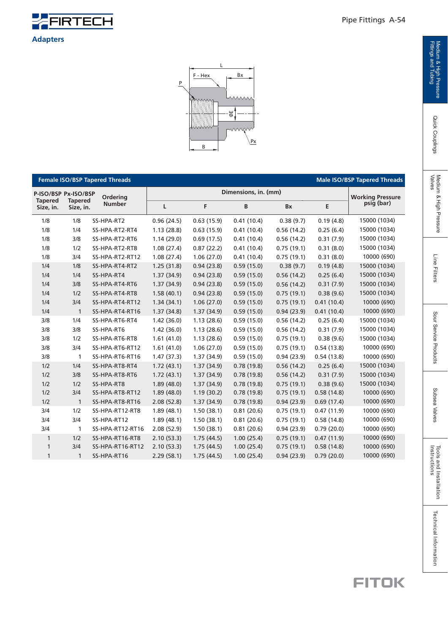



|                             |                             | <b>Female ISO/BSP Tapered Threads</b> |            |            |                      |            |            | <b>Male ISO/BSP Tapered Threads</b> |
|-----------------------------|-----------------------------|---------------------------------------|------------|------------|----------------------|------------|------------|-------------------------------------|
| P-ISO/BSP Px-ISO/BSP        |                             | Ordering                              |            |            | Dimensions, in. (mm) |            |            | <b>Working Pressure</b>             |
| <b>Tapered</b><br>Size, in. | <b>Tapered</b><br>Size, in. | <b>Number</b>                         | L          | F          | B                    | <b>Bx</b>  | E          | psig (bar)                          |
| 1/8                         | 1/8                         | SS-HPA-RT2                            | 0.96(24.5) | 0.63(15.9) | 0.41(10.4)           | 0.38(9.7)  | 0.19(4.8)  | 15000 (1034)                        |
| 1/8                         | 1/4                         | SS-HPA-RT2-RT4                        | 1.13(28.8) | 0.63(15.9) | 0.41(10.4)           | 0.56(14.2) | 0.25(6.4)  | 15000 (1034)                        |
| 1/8                         | 3/8                         | SS-HPA-RT2-RT6                        | 1.14(29.0) | 0.69(17.5) | 0.41(10.4)           | 0.56(14.2) | 0.31(7.9)  | 15000 (1034)                        |
| 1/8                         | 1/2                         | SS-HPA-RT2-RT8                        | 1.08(27.4) | 0.87(22.2) | 0.41(10.4)           | 0.75(19.1) | 0.31(8.0)  | 15000 (1034)                        |
| 1/8                         | 3/4                         | SS-HPA-RT2-RT12                       | 1.08(27.4) | 1.06(27.0) | 0.41(10.4)           | 0.75(19.1) | 0.31(8.0)  | 10000 (690)                         |
| 1/4                         | 1/8                         | SS-HPA-RT4-RT2                        | 1.25(31.8) | 0.94(23.8) | 0.59(15.0)           | 0.38(9.7)  | 0.19(4.8)  | 15000 (1034)                        |
| 1/4                         | 1/4                         | SS-HPA-RT4                            | 1.37(34.9) | 0.94(23.8) | 0.59(15.0)           | 0.56(14.2) | 0.25(6.4)  | 15000 (1034)                        |
| 1/4                         | 3/8                         | SS-HPA-RT4-RT6                        | 1.37(34.9) | 0.94(23.8) | 0.59(15.0)           | 0.56(14.2) | 0.31(7.9)  | 15000 (1034)                        |
| 1/4                         | 1/2                         | SS-HPA-RT4-RT8                        | 1.58(40.1) | 0.94(23.8) | 0.59(15.0)           | 0.75(19.1) | 0.38(9.6)  | 15000 (1034)                        |
| 1/4                         | 3/4                         | SS-HPA-RT4-RT12                       | 1.34(34.1) | 1.06(27.0) | 0.59(15.0)           | 0.75(19.1) | 0.41(10.4) | 10000 (690)                         |
| 1/4                         | $\mathbf{1}$                | SS-HPA-RT4-RT16                       | 1.37(34.8) | 1.37(34.9) | 0.59(15.0)           | 0.94(23.9) | 0.41(10.4) | 10000 (690)                         |
| 3/8                         | 1/4                         | SS-HPA-RT6-RT4                        | 1.42(36.0) | 1.13(28.6) | 0.59(15.0)           | 0.56(14.2) | 0.25(6.4)  | 15000 (1034)                        |
| 3/8                         | 3/8                         | SS-HPA-RT6                            | 1.42(36.0) | 1.13(28.6) | 0.59(15.0)           | 0.56(14.2) | 0.31(7.9)  | 15000 (1034)                        |
| 3/8                         | 1/2                         | SS-HPA-RT6-RT8                        | 1.61(41.0) | 1.13(28.6) | 0.59(15.0)           | 0.75(19.1) | 0.38(9.6)  | 15000 (1034)                        |
| 3/8                         | 3/4                         | SS-HPA-RT6-RT12                       | 1.61(41.0) | 1.06(27.0) | 0.59(15.0)           | 0.75(19.1) | 0.54(13.8) | 10000 (690)                         |
| 3/8                         | 1                           | SS-HPA-RT6-RT16                       | 1.47(37.3) | 1.37(34.9) | 0.59(15.0)           | 0.94(23.9) | 0.54(13.8) | 10000 (690)                         |
| 1/2                         | 1/4                         | SS-HPA-RT8-RT4                        | 1.72(43.1) | 1.37(34.9) | 0.78(19.8)           | 0.56(14.2) | 0.25(6.4)  | 15000 (1034)                        |
| 1/2                         | 3/8                         | SS-HPA-RT8-RT6                        | 1.72(43.1) | 1.37(34.9) | 0.78(19.8)           | 0.56(14.2) | 0.31(7.9)  | 15000 (1034)                        |
| 1/2                         | 1/2                         | SS-HPA-RT8                            | 1.89(48.0) | 1.37(34.9) | 0.78(19.8)           | 0.75(19.1) | 0.38(9.6)  | 15000 (1034)                        |
| 1/2                         | 3/4                         | SS-HPA-RT8-RT12                       | 1.89(48.0) | 1.19(30.2) | 0.78(19.8)           | 0.75(19.1) | 0.58(14.8) | 10000 (690)                         |
| 1/2                         | $\mathbf{1}$                | SS-HPA-RT8-RT16                       | 2.08(52.8) | 1.37(34.9) | 0.78(19.8)           | 0.94(23.9) | 0.69(17.4) | 10000 (690)                         |
| 3/4                         | 1/2                         | SS-HPA-RT12-RT8                       | 1.89(48.1) | 1.50(38.1) | 0.81(20.6)           | 0.75(19.1) | 0.47(11.9) | 10000 (690)                         |
| 3/4                         | 3/4                         | SS-HPA-RT12                           | 1.89(48.1) | 1.50(38.1) | 0.81(20.6)           | 0.75(19.1) | 0.58(14.8) | 10000 (690)                         |
| 3/4                         | $\mathbf{1}$                | SS-HPA-RT12-RT16                      | 2.08(52.9) | 1.50(38.1) | 0.81(20.6)           | 0.94(23.9) | 0.79(20.0) | 10000 (690)                         |
| $\mathbf{1}$                | 1/2                         | SS-HPA-RT16-RT8                       | 2.10(53.3) | 1.75(44.5) | 1.00(25.4)           | 0.75(19.1) | 0.47(11.9) | 10000 (690)                         |
| 1                           | 3/4                         | SS-HPA-RT16-RT12                      | 2.10(53.3) | 1.75(44.5) | 1.00(25.4)           | 0.75(19.1) | 0.58(14.8) | 10000 (690)                         |
| 1                           | $\mathbf{1}$                | SS-HPA-RT16                           | 2.29(58.1) | 1.75(44.5) | 1.00(25.4)           | 0.94(23.9) | 0.79(20.0) | 10000 (690)                         |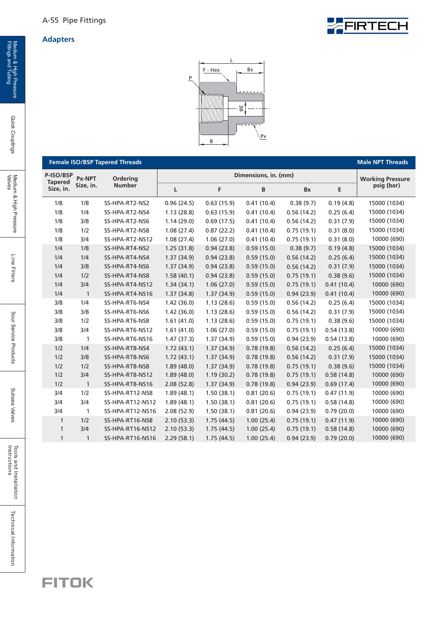

|                             |              | <b>Female ISO/BSP Tapered Threads</b> |            |            |                      |            |            | <b>Male NPT Threads</b> |
|-----------------------------|--------------|---------------------------------------|------------|------------|----------------------|------------|------------|-------------------------|
| P-ISO/BSP<br><b>Tapered</b> | Px-NPT       | Ordering                              |            |            | Dimensions, in. (mm) |            |            | <b>Working Pressure</b> |
| Size, in.                   | Size, in.    | <b>Number</b>                         | L          | F          | B                    | Bx         | E          | psig (bar)              |
| 1/8                         | 1/8          | SS-HPA-RT2-NS2                        | 0.96(24.5) | 0.63(15.9) | 0.41(10.4)           | 0.38(9.7)  | 0.19(4.8)  | 15000 (1034)            |
| 1/8                         | 1/4          | SS-HPA-RT2-NS4                        | 1.13(28.8) | 0.63(15.9) | 0.41(10.4)           | 0.56(14.2) | 0.25(6.4)  | 15000 (1034)            |
| 1/8                         | 3/8          | SS-HPA-RT2-NS6                        | 1.14(29.0) | 0.69(17.5) | 0.41(10.4)           | 0.56(14.2) | 0.31(7.9)  | 15000 (1034)            |
| 1/8                         | 1/2          | SS-HPA-RT2-NS8                        | 1.08(27.4) | 0.87(22.2) | 0.41(10.4)           | 0.75(19.1) | 0.31(8.0)  | 15000 (1034)            |
| 1/8                         | 3/4          | SS-HPA-RT2-NS12                       | 1.08(27.4) | 1.06(27.0) | 0.41(10.4)           | 0.75(19.1) | 0.31(8.0)  | 10000 (690)             |
| 1/4                         | 1/8          | SS-HPA-RT4-NS2                        | 1.25(31.8) | 0.94(23.8) | 0.59(15.0)           | 0.38(9.7)  | 0.19(4.8)  | 15000 (1034)            |
| 1/4                         | 1/4          | SS-HPA-RT4-NS4                        | 1.37(34.9) | 0.94(23.8) | 0.59(15.0)           | 0.56(14.2) | 0.25(6.4)  | 15000 (1034)            |
| 1/4                         | 3/8          | SS-HPA-RT4-NS6                        | 1.37(34.9) | 0.94(23.8) | 0.59(15.0)           | 0.56(14.2) | 0.31(7.9)  | 15000 (1034)            |
| 1/4                         | 1/2          | SS-HPA-RT4-NS8                        | 1.58(40.1) | 0.94(23.8) | 0.59(15.0)           | 0.75(19.1) | 0.38(9.6)  | 15000 (1034)            |
| 1/4                         | 3/4          | SS-HPA-RT4-NS12                       | 1.34(34.1) | 1.06(27.0) | 0.59(15.0)           | 0.75(19.1) | 0.41(10.4) | 10000 (690)             |
| 1/4                         | $\mathbf{1}$ | SS-HPA-RT4-NS16                       | 1.37(34.8) | 1.37(34.9) | 0.59(15.0)           | 0.94(23.9) | 0.41(10.4) | 10000 (690)             |
| 3/8                         | 1/4          | SS-HPA-RT6-NS4                        | 1.42(36.0) | 1.13(28.6) | 0.59(15.0)           | 0.56(14.2) | 0.25(6.4)  | 15000 (1034)            |
| 3/8                         | 3/8          | SS-HPA-RT6-NS6                        | 1.42(36.0) | 1.13(28.6) | 0.59(15.0)           | 0.56(14.2) | 0.31(7.9)  | 15000 (1034)            |
| 3/8                         | 1/2          | SS-HPA-RT6-NS8                        | 1.61(41.0) | 1.13(28.6) | 0.59(15.0)           | 0.75(19.1) | 0.38(9.6)  | 15000 (1034)            |
| 3/8                         | 3/4          | SS-HPA-RT6-NS12                       | 1.61(41.0) | 1.06(27.0) | 0.59(15.0)           | 0.75(19.1) | 0.54(13.8) | 10000 (690)             |
| 3/8                         | 1            | SS-HPA-RT6-NS16                       | 1.47(37.3) | 1.37(34.9) | 0.59(15.0)           | 0.94(23.9) | 0.54(13.8) | 10000 (690)             |
| 1/2                         | 1/4          | SS-HPA-RT8-NS4                        | 1.72(43.1) | 1.37(34.9) | 0.78(19.8)           | 0.56(14.2) | 0.25(6.4)  | 15000 (1034)            |
| 1/2                         | 3/8          | SS-HPA-RT8-NS6                        | 1.72(43.1) | 1.37(34.9) | 0.78(19.8)           | 0.56(14.2) | 0.31(7.9)  | 15000 (1034)            |
| 1/2                         | 1/2          | SS-HPA-RT8-NS8                        | 1.89(48.0) | 1.37(34.9) | 0.78(19.8)           | 0.75(19.1) | 0.38(9.6)  | 15000 (1034)            |
| 1/2                         | 3/4          | SS-HPA-RT8-NS12                       | 1.89(48.0) | 1.19(30.2) | 0.78(19.8)           | 0.75(19.1) | 0.58(14.8) | 10000 (690)             |
| 1/2                         | $\mathbf{1}$ | SS-HPA-RT8-NS16                       | 2.08(52.8) | 1.37(34.9) | 0.78(19.8)           | 0.94(23.9) | 0.69(17.4) | 10000 (690)             |
| 3/4                         | 1/2          | SS-HPA-RT12-NS8                       | 1.89(48.1) | 1.50(38.1) | 0.81(20.6)           | 0.75(19.1) | 0.47(11.9) | 10000 (690)             |
| 3/4                         | 3/4          | SS-HPA-RT12-NS12                      | 1.89(48.1) | 1.50(38.1) | 0.81(20.6)           | 0.75(19.1) | 0.58(14.8) | 10000 (690)             |
| 3/4                         | $\mathbf{1}$ | SS-HPA-RT12-NS16                      | 2.08(52.9) | 1.50(38.1) | 0.81(20.6)           | 0.94(23.9) | 0.79(20.0) | 10000 (690)             |
| 1                           | 1/2          | SS-HPA-RT16-NS8                       | 2.10(53.3) | 1.75(44.5) | 1.00(25.4)           | 0.75(19.1) | 0.47(11.9) | 10000 (690)             |
| 1                           | 3/4          | SS-HPA-RT16-NS12                      | 2.10(53.3) | 1.75(44.5) | 1.00(25.4)           | 0.75(19.1) | 0.58(14.8) | 10000 (690)             |
| 1                           | $\mathbf{1}$ | SS-HPA-RT16-NS16                      | 2.29(58.1) | 1.75(44.5) | 1.00(25.4)           | 0.94(23.9) | 0.79(20.0) | 10000 (690)             |

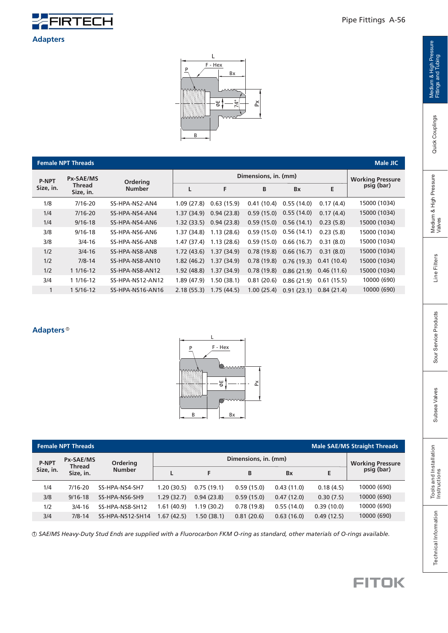

L  $F - Hex$ P Bx 74°  $\mathbb{X}$ E IIII B

|              | <b>Female NPT Threads</b> |                  |                      |            |            |            |            | Male JIC     |  |  |
|--------------|---------------------------|------------------|----------------------|------------|------------|------------|------------|--------------|--|--|
| <b>P-NPT</b> | Px-SAE/MS                 | Ordering         | Dimensions, in. (mm) |            |            |            |            |              |  |  |
| Size, in.    | Thread<br>Size, in.       | <b>Number</b>    | L                    | F          | B          | <b>Bx</b>  | E          | psig (bar)   |  |  |
| 1/8          | 7/16-20                   | SS-HPA-NS2-AN4   | 1.09(27.8)           | 0.63(15.9) | 0.41(10.4) | 0.55(14.0) | 0.17(4.4)  | 15000 (1034) |  |  |
| 1/4          | $7/16 - 20$               | SS-HPA-NS4-AN4   | 1.37(34.9)           | 0.94(23.8) | 0.59(15.0) | 0.55(14.0) | 0.17(4.4)  | 15000 (1034) |  |  |
| 1/4          | $9/16 - 18$               | SS-HPA-NS4-AN6   | 1.32(33.5)           | 0.94(23.8) | 0.59(15.0) | 0.56(14.1) | 0.23(5.8)  | 15000 (1034) |  |  |
| 3/8          | $9/16 - 18$               | SS-HPA-NS6-AN6   | 1.37(34.8)           | 1.13(28.6) | 0.59(15.0) | 0.56(14.1) | 0.23(5.8)  | 15000 (1034) |  |  |
| 3/8          | $3/4 - 16$                | SS-HPA-NS6-AN8   | 1.47(37.4)           | 1.13(28.6) | 0.59(15.0) | 0.66(16.7) | 0.31(8.0)  | 15000 (1034) |  |  |
| 1/2          | $3/4 - 16$                | SS-HPA-NS8-AN8   | 1.72(43.6)           | 1.37(34.9) | 0.78(19.8) | 0.66(16.7) | 0.31(8.0)  | 15000 (1034) |  |  |
| 1/2          | $7/8 - 14$                | SS-HPA-NS8-AN10  | 1.82(46.2)           | 1.37(34.9) | 0.78(19.8) | 0.76(19.3) | 0.41(10.4) | 15000 (1034) |  |  |
| 1/2          | $11/16-12$                | SS-HPA-NS8-AN12  | 1.92(48.8)           | 1.37(34.9) | 0.78(19.8) | 0.86(21.9) | 0.46(11.6) | 15000 (1034) |  |  |
| 3/4          | 1 1/16-12                 | SS-HPA-NS12-AN12 | 1.89(47.9)           | 1.50(38.1) | 0.81(20.6) | 0.86(21.9) | 0.61(15.5) | 10000 (690)  |  |  |
| 1            | 1 5/16-12                 | SS-HPA-NS16-AN16 | 2.18(55.3)           | 1.75(44.5) | 1.00(25.4) | 0.91(23.1) | 0.84(21.4) | 10000 (690)  |  |  |

#### **Adapters** 1



| <b>Female NPT Threads</b>                         | <b>Male SAE/MS Straight Threads</b> |                  |             |            |                      |                                        |            |             |
|---------------------------------------------------|-------------------------------------|------------------|-------------|------------|----------------------|----------------------------------------|------------|-------------|
| <b>Px-SAE/MS</b><br><b>P-NPT</b><br><b>Thread</b> |                                     | Ordering         |             |            | Dimensions, in. (mm) | <b>Working Pressure<br/>psig (bar)</b> |            |             |
| Size, in.                                         | Size, in.                           | <b>Number</b>    |             | F          | B                    | <b>Bx</b>                              | E          |             |
| 1/4                                               | $7/16 - 20$                         | SS-HPA-NS4-SH7   | 1.20 (30.5) | 0.75(19.1) | 0.59(15.0)           | 0.43(11.0)                             | 0.18(4.5)  | 10000 (690) |
| 3/8                                               | $9/16 - 18$                         | SS-HPA-NS6-SH9   | 1.29(32.7)  | 0.94(23.8) | 0.59(15.0)           | 0.47(12.0)                             | 0.30(7.5)  | 10000 (690) |
| 1/2                                               | $3/4 - 16$                          | SS-HPA-NS8-SH12  | 1.61 (40.9) | 1.19(30.2) | 0.78(19.8)           | 0.55(14.0)                             | 0.39(10.0) | 10000 (690) |
| 3/4                                               | $7/8 - 14$                          | SS-HPA-NS12-SH14 | 1.67 (42.5) | 1.50(38.1) | 0.81(20.6)           | 0.63(16.0)                             | 0.49(12.5) | 10000 (690) |

 *SAE/MS Heavy-Duty Stud Ends are supplied with a* 1 *a Fluorocarbon FKM O-ring s standard, other materials of O-rings available.*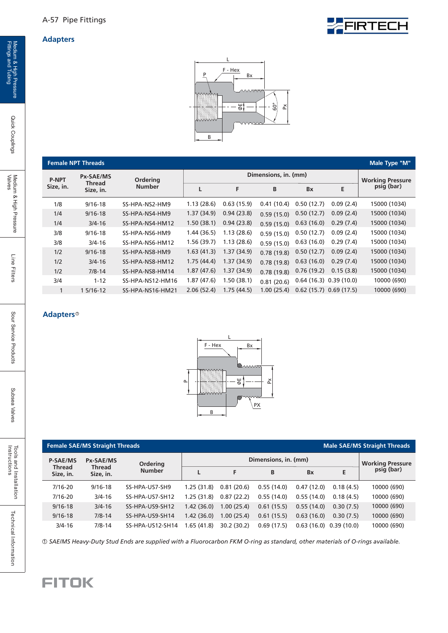



|              | <b>Female NPT Threads</b> |                  |            |                      |            |                         |                           | Male Type "M" |
|--------------|---------------------------|------------------|------------|----------------------|------------|-------------------------|---------------------------|---------------|
| <b>P-NPT</b> | <b>Px-SAE/MS</b>          | <b>Ordering</b>  |            | Dimensions, in. (mm) |            | <b>Working Pressure</b> |                           |               |
| Size, in.    | Thread<br>Size, in.       | <b>Number</b>    | L          | F                    | B          | <b>Bx</b>               | E                         | psig (bar)    |
| 1/8          | $9/16 - 18$               | SS-HPA-NS2-HM9   | 1.13(28.6) | 0.63(15.9)           | 0.41(10.4) | 0.50(12.7)              | 0.09(2.4)                 | 15000 (1034)  |
| 1/4          | $9/16 - 18$               | SS-HPA-NS4-HM9   | 1.37(34.9) | 0.94(23.8)           | 0.59(15.0) | 0.50(12.7)              | 0.09(2.4)                 | 15000 (1034)  |
| 1/4          | $3/4 - 16$                | SS-HPA-NS4-HM12  | 1.50(38.1) | 0.94(23.8)           | 0.59(15.0) | 0.63(16.0)              | 0.29(7.4)                 | 15000 (1034)  |
| 3/8          | $9/16 - 18$               | SS-HPA-NS6-HM9   | 1.44(36.5) | 1.13(28.6)           | 0.59(15.0) | 0.50(12.7)              | 0.09(2.4)                 | 15000 (1034)  |
| 3/8          | $3/4 - 16$                | SS-HPA-NS6-HM12  | 1.56(39.7) | 1.13(28.6)           | 0.59(15.0) | 0.63(16.0)              | 0.29(7.4)                 | 15000 (1034)  |
| 1/2          | $9/16 - 18$               | SS-HPA-NS8-HM9   | 1.63(41.3) | 1.37(34.9)           | 0.78(19.8) | 0.50(12.7)              | 0.09(2.4)                 | 15000 (1034)  |
| 1/2          | $3/4 - 16$                | SS-HPA-NS8-HM12  | 1.75(44.4) | 1.37(34.9)           | 0.78(19.8) | 0.63(16.0)              | 0.29(7.4)                 | 15000 (1034)  |
| 1/2          | $7/8 - 14$                | SS-HPA-NS8-HM14  | 1.87(47.6) | 1.37(34.9)           | 0.78(19.8) | 0.76(19.2)              | 0.15(3.8)                 | 15000 (1034)  |
| 3/4          | $1 - 12$                  | SS-HPA-NS12-HM16 | 1.87(47.6) | 1.50(38.1)           | 0.81(20.6) |                         | $0.64(16.3)$ $0.39(10.0)$ | 10000 (690)   |
|              | 1 5/16-12                 | SS-HPA-NS16-HM21 | 2.06(52.4) | 1.75(44.5)           | 1.00(25.4) |                         | $0.62(15.7)$ 0.69 (17.5)  | 10000 (690)   |

#### **Adapters** 1



|                            | <b>Female SAE/MS Straight Threads</b> |                        |            |             |            |            |                           | <b>Male SAE/MS Straight Threads</b>    |
|----------------------------|---------------------------------------|------------------------|------------|-------------|------------|------------|---------------------------|----------------------------------------|
| <b>P-SAE/MS</b>            | Px-SAE/MS                             | <b>Ordering</b>        |            |             |            |            |                           |                                        |
| <b>Thread</b><br>Size, in. | <b>Thread</b><br>Size, in.            | <b>Number</b>          |            | F           | B          | <b>Bx</b>  | E                         | <b>Working Pressure<br/>psig (bar)</b> |
| $7/16 - 20$                | $9/16 - 18$                           | SS-HPA-US7-SH9         | 1.25(31.8) | 0.81(20.6)  | 0.55(14.0) | 0.47(12.0) | 0.18(4.5)                 | 10000 (690)                            |
| $7/16 - 20$                | $3/4 - 16$                            | <b>SS-HPA-US7-SH12</b> | 1.25(31.8) | 0.87(22.2)  | 0.55(14.0) | 0.55(14.0) | 0.18(4.5)                 | 10000 (690)                            |
| $9/16 - 18$                | $3/4 - 16$                            | SS-HPA-US9-SH12        | 1.42(36.0) | 1.00(25.4)  | 0.61(15.5) | 0.55(14.0) | 0.30(7.5)                 | 10000 (690)                            |
| $9/16 - 18$                | $7/8 - 14$                            | SS-HPA-US9-SH14        | 1.42(36.0) | 1.00(25.4)  | 0.61(15.5) | 0.63(16.0) | 0.30(7.5)                 | 10000 (690)                            |
| $3/4 - 16$                 | $7/8 - 14$                            | SS-HPA-US12-SH14       | 1.65(41.8) | 30.2 (30.2) | 0.69(17.5) |            | $0.63(16.0)$ $0.39(10.0)$ | 10000 (690)                            |

 *SAE/MS Heavy-Duty Stud Ends are supplied with a* 1 *a Fluorocarbon FKM O-ring s standard, other materials of O-rings available.*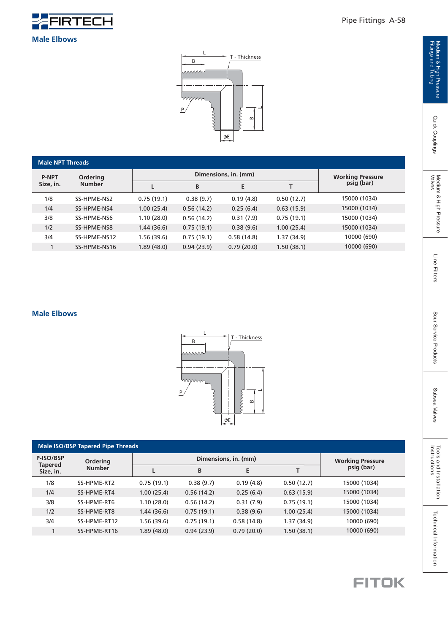

#### Pipe Fittings A-58

#### **Male Elbows**



| <b>Male NPT Threads</b> |                 |            |                      |            |            |                                        |  |  |  |  |  |
|-------------------------|-----------------|------------|----------------------|------------|------------|----------------------------------------|--|--|--|--|--|
| <b>P-NPT</b>            | <b>Ordering</b> |            | Dimensions, in. (mm) |            |            |                                        |  |  |  |  |  |
| Size, in.               | <b>Number</b>   |            | B                    | E          |            | <b>Working Pressure<br/>psig (bar)</b> |  |  |  |  |  |
| 1/8                     | SS-HPME-NS2     | 0.75(19.1) | 0.38(9.7)            | 0.19(4.8)  | 0.50(12.7) | 15000 (1034)                           |  |  |  |  |  |
| 1/4                     | SS-HPME-NS4     | 1.00(25.4) | 0.56(14.2)           | 0.25(6.4)  | 0.63(15.9) | 15000 (1034)                           |  |  |  |  |  |
| 3/8                     | SS-HPME-NS6     | 1.10(28.0) | 0.56(14.2)           | 0.31(7.9)  | 0.75(19.1) | 15000 (1034)                           |  |  |  |  |  |
| 1/2                     | SS-HPME-NS8     | 1.44(36.6) | 0.75(19.1)           | 0.38(9.6)  | 1.00(25.4) | 15000 (1034)                           |  |  |  |  |  |
| 3/4                     | SS-HPME-NS12    | 1.56(39.6) | 0.75(19.1)           | 0.58(14.8) | 1.37(34.9) | 10000 (690)                            |  |  |  |  |  |
|                         | SS-HPME-NS16    | 1.89(48.0) | 0.94(23.9)           | 0.79(20.0) | 1.50(38.1) | 10000 (690)                            |  |  |  |  |  |

#### **Male Elbows**



| <b>Male ISO/BSP Tapered Pipe Threads</b> |               |             |                      |                         |            |              |  |  |  |  |  |
|------------------------------------------|---------------|-------------|----------------------|-------------------------|------------|--------------|--|--|--|--|--|
| P-ISO/BSP<br><b>Tapered</b>              | Ordering      |             | Dimensions, in. (mm) | <b>Working Pressure</b> |            |              |  |  |  |  |  |
| Size, in.                                | <b>Number</b> | L           | B                    | E                       |            | psig (bar)   |  |  |  |  |  |
| 1/8                                      | SS-HPME-RT2   | 0.75(19.1)  | 0.38(9.7)            | 0.19(4.8)               | 0.50(12.7) | 15000 (1034) |  |  |  |  |  |
| 1/4                                      | SS-HPME-RT4   | 1.00(25.4)  | 0.56(14.2)           | 0.25(6.4)               | 0.63(15.9) | 15000 (1034) |  |  |  |  |  |
| 3/8                                      | SS-HPME-RT6   | 1.10(28.0)  | 0.56(14.2)           | 0.31(7.9)               | 0.75(19.1) | 15000 (1034) |  |  |  |  |  |
| 1/2                                      | SS-HPME-RT8   | 1.44(36.6)  | 0.75(19.1)           | 0.38(9.6)               | 1.00(25.4) | 15000 (1034) |  |  |  |  |  |
| 3/4                                      | SS-HPME-RT12  | 1.56 (39.6) | 0.75(19.1)           | 0.58(14.8)              | 1.37(34.9) | 10000 (690)  |  |  |  |  |  |
|                                          | SS-HPME-RT16  | 1.89(48.0)  | 0.94(23.9)           | 0.79(20.0)              | 1.50(38.1) | 10000 (690)  |  |  |  |  |  |

Medium & High Pressure<br>Fittings and Tubing Medium & High Pressure Dous and Installation & High Pressure Fitters Fitters Fitters Products Sour Service Products Subsea Valves Pitters Fittings and Tubing Instructions (Prime Subseau<br>Fittings and Tubing Ainst Couplings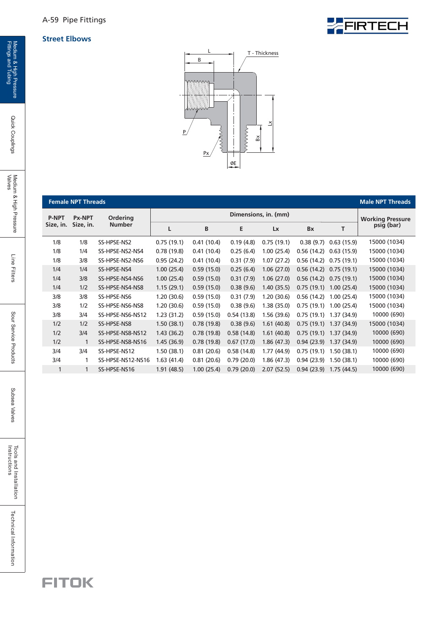A-59 Pipe Fittings

#### **Street Elbows**





|              | <b>Female NPT Threads</b> |                   |             |                         |            |             |            |            | <b>Male NPT Threads</b> |
|--------------|---------------------------|-------------------|-------------|-------------------------|------------|-------------|------------|------------|-------------------------|
| <b>P-NPT</b> | <b>Px-NPT</b>             | <b>Ordering</b>   |             | <b>Working Pressure</b> |            |             |            |            |                         |
| Size, in.    | Size, in.                 | <b>Number</b>     | L           | B                       | E          | Lx          | <b>Bx</b>  | т          | psig (bar)              |
| 1/8          | 1/8                       | SS-HPSE-NS2       | 0.75(19.1)  | 0.41(10.4)              | 0.19(4.8)  | 0.75(19.1)  | 0.38(9.7)  | 0.63(15.9) | 15000 (1034)            |
| 1/8          | 1/4                       | SS-HPSE-NS2-NS4   | 0.78(19.8)  | 0.41(10.4)              | 0.25(6.4)  | 1.00(25.4)  | 0.56(14.2) | 0.63(15.9) | 15000 (1034)            |
| 1/8          | 3/8                       | SS-HPSE-NS2-NS6   | 0.95(24.2)  | 0.41(10.4)              | 0.31(7.9)  | 1.07(27.2)  | 0.56(14.2) | 0.75(19.1) | 15000 (1034)            |
| 1/4          | 1/4                       | SS-HPSE-NS4       | 1.00(25.4)  | 0.59(15.0)              | 0.25(6.4)  | 1.06(27.0)  | 0.56(14.2) | 0.75(19.1) | 15000 (1034)            |
| 1/4          | 3/8                       | SS-HPSE-NS4-NS6   | 1.00(25.4)  | 0.59(15.0)              | 0.31(7.9)  | 1.06(27.0)  | 0.56(14.2) | 0.75(19.1) | 15000 (1034)            |
| 1/4          | 1/2                       | SS-HPSE-NS4-NS8   | 1.15(29.1)  | 0.59(15.0)              | 0.38(9.6)  | 1.40(35.5)  | 0.75(19.1) | 1.00(25.4) | 15000 (1034)            |
| 3/8          | 3/8                       | SS-HPSE-NS6       | 1.20(30.6)  | 0.59(15.0)              | 0.31(7.9)  | 1.20(30.6)  | 0.56(14.2) | 1.00(25.4) | 15000 (1034)            |
| 3/8          | 1/2                       | SS-HPSE-NS6-NS8   | 1.20(30.6)  | 0.59(15.0)              | 0.38(9.6)  | 1.38(35.0)  | 0.75(19.1) | 1.00(25.4) | 15000 (1034)            |
| 3/8          | 3/4                       | SS-HPSE-NS6-NS12  | 1.23(31.2)  | 0.59(15.0)              | 0.54(13.8) | 1.56(39.6)  | 0.75(19.1) | 1.37(34.9) | 10000 (690)             |
| 1/2          | 1/2                       | SS-HPSE-NS8       | 1.50(38.1)  | 0.78(19.8)              | 0.38(9.6)  | 1.61(40.8)  | 0.75(19.1) | 1.37(34.9) | 15000 (1034)            |
| 1/2          | 3/4                       | SS-HPSE-NS8-NS12  | 1.43(36.2)  | 0.78(19.8)              | 0.58(14.8) | 1.61(40.8)  | 0.75(19.1) | 1.37(34.9) | 10000 (690)             |
| 1/2          | 1                         | SS-HPSE-NS8-NS16  | 1.45(36.9)  | 0.78(19.8)              | 0.67(17.0) | 1.86(47.3)  | 0.94(23.9) | 1.37(34.9) | 10000 (690)             |
| 3/4          | 3/4                       | SS-HPSE-NS12      | 1.50(38.1)  | 0.81(20.6)              | 0.58(14.8) | 1.77 (44.9) | 0.75(19.1) | 1.50(38.1) | 10000 (690)             |
| 3/4          | 1                         | SS-HPSE-NS12-NS16 | 1.63 (41.4) | 0.81(20.6)              | 0.79(20.0) | 1.86(47.3)  | 0.94(23.9) | 1.50(38.1) | 10000 (690)             |
| 1            | $\mathbf{1}$              | SS-HPSE-NS16      | 1.91(48.5)  | 1.00(25.4)              | 0.79(20.0) | 2.07(52.5)  | 0.94(23.9) | 1.75(44.5) | 10000 (690)             |
|              |                           |                   |             |                         |            |             |            |            |                         |

Quick Couplings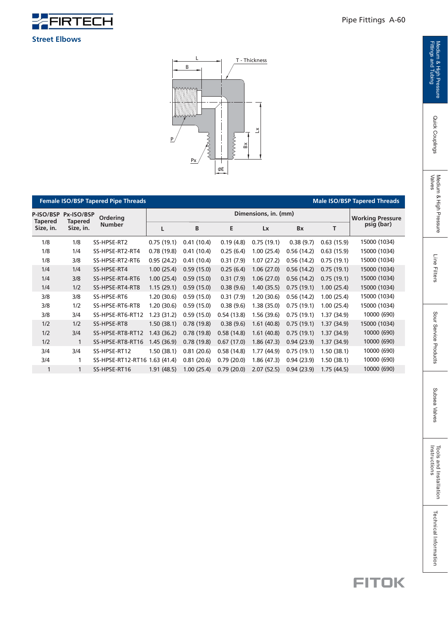

 $3/4$ 

1

1 1

|                                                            | <b>Female ISO/BSP Tapered Pipe Threads</b><br><b>Male ISO/BSP Tapered Threads</b> |                  |            |                         |            |            |            |             |              |  |  |  |  |
|------------------------------------------------------------|-----------------------------------------------------------------------------------|------------------|------------|-------------------------|------------|------------|------------|-------------|--------------|--|--|--|--|
| P-ISO/BSP                                                  | Px-ISO/BSP                                                                        | Ordering         |            | <b>Working Pressure</b> |            |            |            |             |              |  |  |  |  |
| <b>Tapered</b><br><b>Tapered</b><br>Size, in.<br>Size, in. |                                                                                   | <b>Number</b>    | L          | B                       | E          | Lx         | Bx         | T           | psig (bar)   |  |  |  |  |
| 1/8                                                        | 1/8                                                                               | SS-HPSE-RT2      | 0.75(19.1) | 0.41(10.4)              | 0.19(4.8)  | 0.75(19.1) | 0.38(9.7)  | 0.63(15.9)  | 15000 (1034) |  |  |  |  |
| 1/8                                                        | 1/4                                                                               | SS-HPSE-RT2-RT4  | 0.78(19.8) | 0.41(10.4)              | 0.25(6.4)  | 1.00(25.4) | 0.56(14.2) | 0.63(15.9)  | 15000 (1034) |  |  |  |  |
| 1/8                                                        | 3/8                                                                               | SS-HPSE-RT2-RT6  | 0.95(24.2) | 0.41(10.4)              | 0.31(7.9)  | 1.07(27.2) | 0.56(14.2) | 0.75(19.1)  | 15000 (1034) |  |  |  |  |
| 1/4                                                        | 1/4                                                                               | SS-HPSE-RT4      | 1.00(25.4) | 0.59(15.0)              | 0.25(6.4)  | 1.06(27.0) | 0.56(14.2) | 0.75(19.1)  | 15000 (1034) |  |  |  |  |
| 1/4                                                        | 3/8                                                                               | SS-HPSE-RT4-RT6  | 1.00(25.4) | 0.59(15.0)              | 0.31(7.9)  | 1.06(27.0) | 0.56(14.2) | 0.75(19.1)  | 15000 (1034) |  |  |  |  |
| 1/4                                                        | 1/2                                                                               | SS-HPSE-RT4-RT8  | 1.15(29.1) | 0.59(15.0)              | 0.38(9.6)  | 1.40(35.5) | 0.75(19.1) | 1.00(25.4)  | 15000 (1034) |  |  |  |  |
| 3/8                                                        | 3/8                                                                               | SS-HPSE-RT6      | 1.20(30.6) | 0.59(15.0)              | 0.31(7.9)  | 1.20(30.6) | 0.56(14.2) | 1.00(25.4)  | 15000 (1034) |  |  |  |  |
| 3/8                                                        | 1/2                                                                               | SS-HPSE-RT6-RT8  | 1.20(30.6) | 0.59(15.0)              | 0.38(9.6)  | 1.38(35.0) | 0.75(19.1) | 1.00(25.4)  | 15000 (1034) |  |  |  |  |
| 3/8                                                        | 3/4                                                                               | SS-HPSE-RT6-RT12 | 1.23(31.2) | 0.59(15.0)              | 0.54(13.8) | 1.56(39.6) | 0.75(19.1) | 1.37 (34.9) | 10000 (690)  |  |  |  |  |
| 1/2                                                        | 1/2                                                                               | SS-HPSE-RT8      | 1.50(38.1) | 0.78(19.8)              | 0.38(9.6)  | 1.61(40.8) | 0.75(19.1) | 1.37(34.9)  | 15000 (1034) |  |  |  |  |
| 1/2                                                        | 3/4                                                                               | SS-HPSE-RT8-RT12 | 1.43(36.2) | 0.78(19.8)              | 0.58(14.8) | 1.61(40.8) | 0.75(19.1) | 1.37(34.9)  | 10000 (690)  |  |  |  |  |
| 1/2                                                        | 1                                                                                 | SS-HPSE-RT8-RT16 | 1.45(36.9) | 0.78(19.8)              | 0.67(17.0) | 1.86(47.3) | 0.94(23.9) | 1.37(34.9)  | 10000 (690)  |  |  |  |  |
| 3/4                                                        | 3/4                                                                               | SS-HPSE-RT12     | 1.50(38.1) | 0.81(20.6)              | 0.58(14.8) | 1.77(44.9) | 0.75(19.1) | 1.50(38.1)  | 10000 (690)  |  |  |  |  |

1 SS-HPSE-RT12-RT16 1.63 (41.4) 0.81 (20.6) 0.79 (20.0) 1.86 (47.3) 0.94 (23.9) 1.50 (38.1) SS-HPSE-RT16 1.91 (48.5) 1.00 (25.4) 0.79 (20.0) 2.07 (52.5) 0.94 (23.9) 1.75 (44.5)



#### **FITOK**

10000 (690) 10000 (690)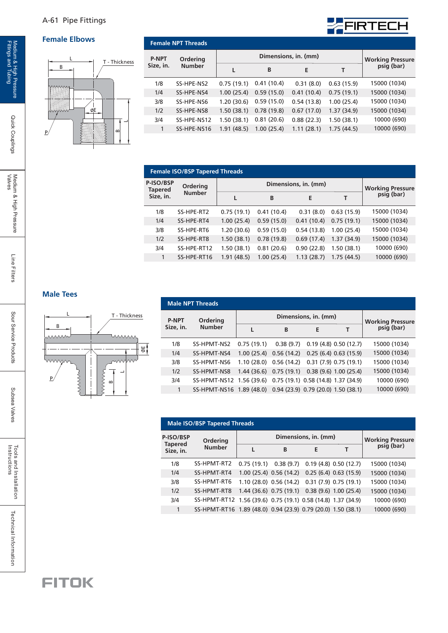#### A-61 Pipe Fittings

#### **Female Elbows Female NPT Threads**



| <b>P-NPT</b> | Ordering      |            | <b>Working Pressure<br/>psig (bar)</b> |            |            |              |
|--------------|---------------|------------|----------------------------------------|------------|------------|--------------|
| Size, in.    | <b>Number</b> |            | B                                      | E          |            |              |
| 1/8          | SS-HPE-NS2    | 0.75(19.1) | 0.41(10.4)                             | 0.31(8.0)  | 0.63(15.9) | 15000 (1034) |
| 1/4          | SS-HPE-NS4    | 1.00(25.4) | 0.59(15.0)                             | 0.41(10.4) | 0.75(19.1) | 15000 (1034) |
| 3/8          | SS-HPE-NS6    | 1.20(30.6) | 0.59(15.0)                             | 0.54(13.8) | 1.00(25.4) | 15000 (1034) |
| 1/2          | SS-HPE-NS8    | 1.50(38.1) | 0.78(19.8)                             | 0.67(17.0) | 1.37(34.9) | 15000 (1034) |
| 3/4          | SS-HPE-NS12   | 1.50(38.1) | 0.81(20.6)                             | 0.88(22.3) | 1.50(38.1) | 10000 (690)  |
|              | SS-HPE-NS16   | 1.91(48.5) | 1.00(25.4)                             | 1.11(28.1) | 1.75(44.5) | 10000 (690)  |

FIRTECH

|                             | <b>Female ISO/BSP Tapered Threads</b> |            |                         |            |            |              |  |  |  |  |  |  |  |
|-----------------------------|---------------------------------------|------------|-------------------------|------------|------------|--------------|--|--|--|--|--|--|--|
| P-ISO/BSP<br><b>Tapered</b> | Ordering                              |            | <b>Working Pressure</b> |            |            |              |  |  |  |  |  |  |  |
| Size, in.                   | <b>Number</b>                         |            | B                       | E          | т          | psig (bar)   |  |  |  |  |  |  |  |
| 1/8                         | SS-HPE-RT2                            | 0.75(19.1) | 0.41(10.4)              | 0.31(8.0)  | 0.63(15.9) | 15000 (1034) |  |  |  |  |  |  |  |
| 1/4                         | SS-HPE-RT4                            | 1.00(25.4) | 0.59(15.0)              | 0.41(10.4) | 0.75(19.1) | 15000 (1034) |  |  |  |  |  |  |  |
| 3/8                         | SS-HPE-RT6                            | 1.20(30.6) | 0.59(15.0)              | 0.54(13.8) | 1.00(25.4) | 15000 (1034) |  |  |  |  |  |  |  |
| 1/2                         | SS-HPE-RT8                            | 1.50(38.1) | 0.78(19.8)              | 0.69(17.4) | 1.37(34.9) | 15000 (1034) |  |  |  |  |  |  |  |
| 3/4                         | SS-HPE-RT12                           | 1.50(38.1) | 0.81(20.6)              | 0.90(22.8) | 1.50(38.1) | 10000 (690)  |  |  |  |  |  |  |  |
| 1                           | SS-HPE-RT16                           | 1.91(48.5) | 1.00(25.4)              | 1.13(28.7) | 1.75(44.5) | 10000 (690)  |  |  |  |  |  |  |  |
|                             |                                       |            |                         |            |            |              |  |  |  |  |  |  |  |

#### **Male Tees**



| <b>Male NPT Threads</b>                |  |  |  |  |  |  |  |  |  |  |  |  |
|----------------------------------------|--|--|--|--|--|--|--|--|--|--|--|--|
| <b>Working Pressure<br/>psig (bar)</b> |  |  |  |  |  |  |  |  |  |  |  |  |
|                                        |  |  |  |  |  |  |  |  |  |  |  |  |
| 15000 (1034)                           |  |  |  |  |  |  |  |  |  |  |  |  |
| 15000 (1034)                           |  |  |  |  |  |  |  |  |  |  |  |  |
| 15000 (1034)                           |  |  |  |  |  |  |  |  |  |  |  |  |
| 15000 (1034)                           |  |  |  |  |  |  |  |  |  |  |  |  |
| 10000 (690)                            |  |  |  |  |  |  |  |  |  |  |  |  |
| 10000 (690)                            |  |  |  |  |  |  |  |  |  |  |  |  |
|                                        |  |  |  |  |  |  |  |  |  |  |  |  |

| <b>Male ISO/BSP Tapered Threads</b> |                                                              |                                                   |                                                |   |  |              |  |  |  |  |  |  |
|-------------------------------------|--------------------------------------------------------------|---------------------------------------------------|------------------------------------------------|---|--|--------------|--|--|--|--|--|--|
| P-ISO/BSP                           | Ordering                                                     |                                                   | <b>Working Pressure<br/>psig (bar)</b>         |   |  |              |  |  |  |  |  |  |
| <b>Tapered</b><br>Size, in.         | <b>Number</b>                                                |                                                   | B                                              | E |  |              |  |  |  |  |  |  |
| 1/8                                 | SS-HPMT-RT2                                                  | $0.75(19.1)$ $0.38(9.7)$ $0.19(4.8)$ $0.50(12.7)$ |                                                |   |  | 15000 (1034) |  |  |  |  |  |  |
| 1/4                                 | SS-HPMT-RT4                                                  |                                                   | 1.00 (25.4) 0.56 (14.2) 0.25 (6.4) 0.63 (15.9) |   |  | 15000 (1034) |  |  |  |  |  |  |
| 3/8                                 | SS-HPMT-RT6                                                  |                                                   | 1.10 (28.0) 0.56 (14.2) 0.31 (7.9) 0.75 (19.1) |   |  | 15000 (1034) |  |  |  |  |  |  |
| 1/2                                 | SS-HPMT-RT8                                                  |                                                   | 1.44 (36.6) 0.75 (19.1) 0.38 (9.6) 1.00 (25.4) |   |  | 15000 (1034) |  |  |  |  |  |  |
| 3/4                                 | SS-HPMT-RT12 1.56 (39.6) 0.75 (19.1) 0.58 (14.8) 1.37 (34.9) |                                                   |                                                |   |  | 10000 (690)  |  |  |  |  |  |  |
| 1                                   | SS-HPMT-RT16 1.89 (48.0) 0.94 (23.9) 0.79 (20.0) 1.50 (38.1) |                                                   |                                                |   |  | 10000 (690)  |  |  |  |  |  |  |

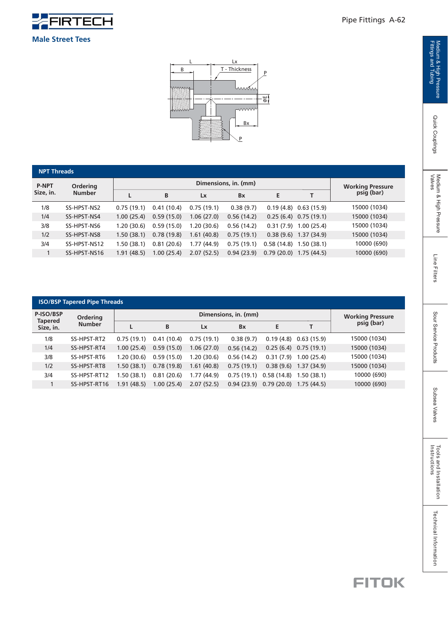

 $L \qquad \qquad Lx$ B T - Thickness P mm E  $\overline{\mathsf{www}}$  $\mathsf{B}$ P

|                            | <b>NPT Threads</b> |            |                         |            |            |            |                          |              |  |  |  |  |
|----------------------------|--------------------|------------|-------------------------|------------|------------|------------|--------------------------|--------------|--|--|--|--|
| <b>P-NPT</b>               | <b>Ordering</b>    |            | <b>Working Pressure</b> |            |            |            |                          |              |  |  |  |  |
| <b>Number</b><br>Size, in. |                    |            | B                       | Lx         | <b>Bx</b>  | E          | т                        | psig (bar)   |  |  |  |  |
| 1/8                        | SS-HPST-NS2        | 0.75(19.1) | 0.41(10.4)              | 0.75(19.1) | 0.38(9.7)  |            | $0.19(4.8)$ $0.63(15.9)$ | 15000 (1034) |  |  |  |  |
| 1/4                        | SS-HPST-NS4        | 1.00(25.4) | 0.59(15.0)              | 1.06(27.0) | 0.56(14.2) |            | $0.25(6.4)$ 0.75 (19.1)  | 15000 (1034) |  |  |  |  |
| 3/8                        | SS-HPST-NS6        | 1.20(30.6) | 0.59(15.0)              | 1.20(30.6) | 0.56(14.2) | 0.31(7.9)  | 1.00(25.4)               | 15000 (1034) |  |  |  |  |
| 1/2                        | SS-HPST-NS8        | 1.50(38.1) | 0.78(19.8)              | 1.61(40.8) | 0.75(19.1) |            | $0.38(9.6)$ 1.37 (34.9)  | 15000 (1034) |  |  |  |  |
| 3/4                        | SS-HPST-NS12       | 1.50(38.1) | 0.81(20.6)              | 1.77(44.9) | 0.75(19.1) | 0.58(14.8) | 1.50(38.1)               | 10000 (690)  |  |  |  |  |
|                            | SS-HPST-NS16       | 1.91(48.5) | 1.00(25.4)              | 2.07(52.5) | 0.94(23.9) |            | $0.79(20.0)$ 1.75 (44.5) | 10000 (690)  |  |  |  |  |
|                            |                    |            |                         |            |            |            |                          |              |  |  |  |  |

| <b>ISO/BSP Tapered Pipe Threads</b>          |              |             |                         |            |            |            |                         |              |  |  |  |
|----------------------------------------------|--------------|-------------|-------------------------|------------|------------|------------|-------------------------|--------------|--|--|--|
| P-ISO/BSP                                    | Ordering     |             | <b>Working Pressure</b> |            |            |            |                         |              |  |  |  |
| <b>Tapered</b><br><b>Number</b><br>Size, in. |              |             | B                       | Lx         | <b>Bx</b>  | E          | т                       | psig (bar)   |  |  |  |
| 1/8                                          | SS-HPST-RT2  | 0.75(19.1)  | 0.41(10.4)              | 0.75(19.1) | 0.38(9.7)  | 0.19(4.8)  | 0.63(15.9)              | 15000 (1034) |  |  |  |
| 1/4                                          | SS-HPST-RT4  | 1.00(25.4)  | 0.59(15.0)              | 1.06(27.0) | 0.56(14.2) |            | $0.25(6.4)$ 0.75 (19.1) | 15000 (1034) |  |  |  |
| 3/8                                          | SS-HPST-RT6  | 1.20 (30.6) | 0.59(15.0)              | 1.20(30.6) | 0.56(14.2) | 0.31(7.9)  | 1.00(25.4)              | 15000 (1034) |  |  |  |
| 1/2                                          | SS-HPST-RT8  | 1.50(38.1)  | 0.78(19.8)              | 1.61(40.8) | 0.75(19.1) | 0.38(9.6)  | 1.37(34.9)              | 15000 (1034) |  |  |  |
| 3/4                                          | SS-HPST-RT12 | 1.50 (38.1) | 0.81(20.6)              | 1.77(44.9) | 0.75(19.1) | 0.58(14.8) | 1.50(38.1)              | 10000 (690)  |  |  |  |
|                                              | SS-HPST-RT16 | 1.91(48.5)  | 1.00(25.4)              | 2.07(52.5) | 0.94(23.9) | 0.79(20.0) | 1.75(44.5)              | 10000 (690)  |  |  |  |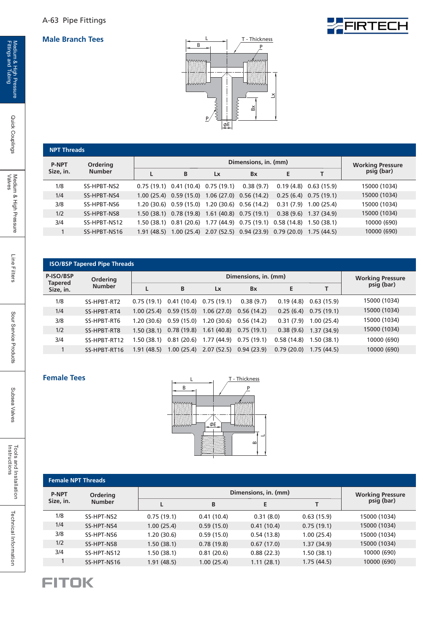

FIRTECH

|              | <b>NPT Threads</b> |  |                                                                         |                         |           |   |                          |              |  |  |  |
|--------------|--------------------|--|-------------------------------------------------------------------------|-------------------------|-----------|---|--------------------------|--------------|--|--|--|
| <b>P-NPT</b> | Ordering           |  |                                                                         | <b>Working Pressure</b> |           |   |                          |              |  |  |  |
| Size, in.    | <b>Number</b>      |  | B                                                                       | Lx                      | Bx        | E |                          | psig (bar)   |  |  |  |
| 1/8          | SS-HPBT-NS2        |  | $0.75(19.1)$ $0.41(10.4)$ $0.75(19.1)$                                  |                         | 0.38(9.7) |   | $0.19(4.8)$ $0.63(15.9)$ | 15000 (1034) |  |  |  |
| 1/4          | SS-HPBT-NS4        |  | 1.00 (25.4) 0.59 (15.0) 1.06 (27.0) 0.56 (14.2)                         |                         |           |   | $0.25(6.4)$ 0.75 (19.1)  | 15000 (1034) |  |  |  |
| 3/8          | SS-HPBT-NS6        |  | 1.20 (30.6) 0.59 (15.0) 1.20 (30.6) 0.56 (14.2)                         |                         |           |   | $0.31(7.9)$ 1.00 (25.4)  | 15000 (1034) |  |  |  |
| 1/2          | SS-HPBT-NS8        |  | 1.50 (38.1) 0.78 (19.8) 1.61 (40.8) 0.75 (19.1)                         |                         |           |   | $0.38(9.6)$ 1.37 (34.9)  | 15000 (1034) |  |  |  |
| 3/4          | SS-HPBT-NS12       |  | 1.50 (38.1) 0.81 (20.6) 1.77 (44.9) 0.75 (19.1) 0.58 (14.8) 1.50 (38.1) |                         |           |   |                          | 10000 (690)  |  |  |  |
|              | SS-HPBT-NS16       |  | 1.91 (48.5) 1.00 (25.4) 2.07 (52.5) 0.94 (23.9) 0.79 (20.0) 1.75 (44.5) |                         |           |   |                          | 10000 (690)  |  |  |  |
|              |                    |  |                                                                         |                         |           |   |                          |              |  |  |  |

| <b>ISO/BSP Tapered Pipe Threads</b> |                 |             |            |                         |                       |            |            |              |  |  |  |
|-------------------------------------|-----------------|-------------|------------|-------------------------|-----------------------|------------|------------|--------------|--|--|--|
| P-ISO/BSP<br><b>Tapered</b>         | <b>Ordering</b> |             |            | <b>Working Pressure</b> |                       |            |            |              |  |  |  |
| Size, in.                           | <b>Number</b>   |             | В          | Lx                      | <b>B</b> <sub>x</sub> | E          |            | psig (bar)   |  |  |  |
| 1/8                                 | SS-HPBT-RT2     | 0.75(19.1)  | 0.41(10.4) | 0.75(19.1)              | 0.38(9.7)             | 0.19(4.8)  | 0.63(15.9) | 15000 (1034) |  |  |  |
| 1/4                                 | SS-HPBT-RT4     | 1.00(25.4)  | 0.59(15.0) | 1.06(27.0)              | 0.56(14.2)            | 0.25(6.4)  | 0.75(19.1) | 15000 (1034) |  |  |  |
| 3/8                                 | SS-HPBT-RT6     | 1.20 (30.6) | 0.59(15.0) | 1.20(30.6)              | 0.56(14.2)            | 0.31(7.9)  | 1.00(25.4) | 15000 (1034) |  |  |  |
| 1/2                                 | SS-HPBT-RT8     | 1.50(38.1)  | 0.78(19.8) | 1.61(40.8)              | 0.75(19.1)            | 0.38(9.6)  | 1.37(34.9) | 15000 (1034) |  |  |  |
| 3/4                                 | SS-HPBT-RT12    | 1.50 (38.1) | 0.81(20.6) | 1.77(44.9)              | 0.75(19.1)            | 0.58(14.8) | 1.50(38.1) | 10000 (690)  |  |  |  |
|                                     | SS-HPBT-RT16    | 1.91(48.5)  | 1.00(25.4) | 2.07(52.5)              | 0.94(23.9)            | 0.79(20.0) | 1.75(44.5) | 10000 (690)  |  |  |  |

#### **Female Tees**



|                            | <b>Female NPT Threads</b> |            |                         |            |            |              |  |  |  |  |  |  |  |
|----------------------------|---------------------------|------------|-------------------------|------------|------------|--------------|--|--|--|--|--|--|--|
| <b>P-NPT</b>               | <b>Ordering</b>           |            | <b>Working Pressure</b> |            |            |              |  |  |  |  |  |  |  |
| Size, in.<br><b>Number</b> |                           |            | B                       | E          |            | psig (bar)   |  |  |  |  |  |  |  |
| 1/8                        | SS-HPT-NS2                | 0.75(19.1) | 0.41(10.4)              | 0.31(8.0)  | 0.63(15.9) | 15000 (1034) |  |  |  |  |  |  |  |
| 1/4                        | SS-HPT-NS4                | 1.00(25.4) | 0.59(15.0)              | 0.41(10.4) | 0.75(19.1) | 15000 (1034) |  |  |  |  |  |  |  |
| 3/8                        | SS-HPT-NS6                | 1.20(30.6) | 0.59(15.0)              | 0.54(13.8) | 1.00(25.4) | 15000 (1034) |  |  |  |  |  |  |  |
| 1/2                        | SS-HPT-NS8                | 1.50(38.1) | 0.78(19.8)              | 0.67(17.0) | 1.37(34.9) | 15000 (1034) |  |  |  |  |  |  |  |
| 3/4                        | SS-HPT-NS12               | 1.50(38.1) | 0.81(20.6)              | 0.88(22.3) | 1.50(38.1) | 10000 (690)  |  |  |  |  |  |  |  |
|                            | SS-HPT-NS16               | 1.91(48.5) | 1.00(25.4)              | 1.11(28.1) | 1.75(44.5) | 10000 (690)  |  |  |  |  |  |  |  |

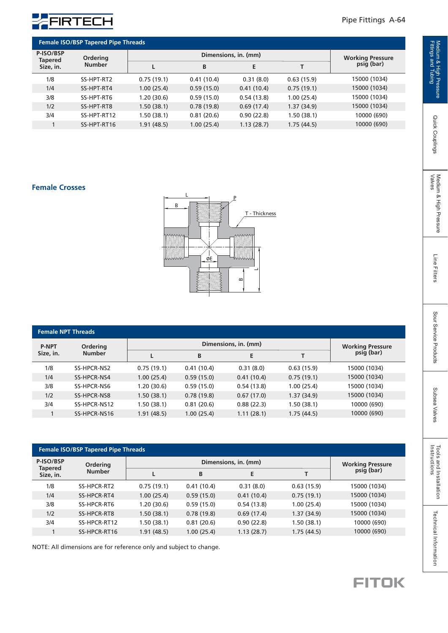

| <b>Female ISO/BSP Tapered Pipe Threads</b> |                           |            |                         |            |            |              |  |
|--------------------------------------------|---------------------------|------------|-------------------------|------------|------------|--------------|--|
| P-ISO/BSP<br><b>Tapered</b><br>Size, in.   | Ordering<br><b>Number</b> |            | <b>Working Pressure</b> |            |            |              |  |
|                                            |                           |            | B                       | E          |            | psig (bar)   |  |
| 1/8                                        | SS-HPT-RT2                | 0.75(19.1) | 0.41(10.4)              | 0.31(8.0)  | 0.63(15.9) | 15000 (1034) |  |
| 1/4                                        | SS-HPT-RT4                | 1.00(25.4) | 0.59(15.0)              | 0.41(10.4) | 0.75(19.1) | 15000 (1034) |  |
| 3/8                                        | SS-HPT-RT6                | 1.20(30.6) | 0.59(15.0)              | 0.54(13.8) | 1.00(25.4) | 15000 (1034) |  |
| 1/2                                        | SS-HPT-RT8                | 1.50(38.1) | 0.78(19.8)              | 0.69(17.4) | 1.37(34.9) | 15000 (1034) |  |
| 3/4                                        | SS-HPT-RT12               | 1.50(38.1) | 0.81(20.6)              | 0.90(22.8) | 1.50(38.1) | 10000 (690)  |  |
|                                            | SS-HPT-RT16               | 1.91(48.5) | 1.00(25.4)              | 1.13(28.7) | 1.75(44.5) | 10000 (690)  |  |

#### **Female Crosses**



| <b>Female NPT Threads</b> |                           |            |                         |            |            |              |  |  |
|---------------------------|---------------------------|------------|-------------------------|------------|------------|--------------|--|--|
| <b>P-NPT</b><br>Size, in. | Ordering<br><b>Number</b> |            | <b>Working Pressure</b> |            |            |              |  |  |
|                           |                           |            | B                       | E          |            | psig (bar)   |  |  |
| 1/8                       | SS-HPCR-NS2               | 0.75(19.1) | 0.41(10.4)              | 0.31(8.0)  | 0.63(15.9) | 15000 (1034) |  |  |
| 1/4                       | SS-HPCR-NS4               | 1.00(25.4) | 0.59(15.0)              | 0.41(10.4) | 0.75(19.1) | 15000 (1034) |  |  |
| 3/8                       | SS-HPCR-NS6               | 1.20(30.6) | 0.59(15.0)              | 0.54(13.8) | 1.00(25.4) | 15000 (1034) |  |  |
| 1/2                       | SS-HPCR-NS8               | 1.50(38.1) | 0.78(19.8)              | 0.67(17.0) | 1.37(34.9) | 15000 (1034) |  |  |
| 3/4                       | SS-HPCR-NS12              | 1.50(38.1) | 0.81(20.6)              | 0.88(22.3) | 1.50(38.1) | 10000 (690)  |  |  |
|                           | SS-HPCR-NS16              | 1.91(48.5) | 1.00(25.4)              | 1.11(28.1) | 1.75(44.5) | 10000 (690)  |  |  |
|                           |                           |            |                         |            |            |              |  |  |

| <b>Female ISO/BSP Tapered Pipe Threads</b> |                           |             |                         |            |            |              |  |
|--------------------------------------------|---------------------------|-------------|-------------------------|------------|------------|--------------|--|
| P-ISO/BSP<br><b>Tapered</b><br>Size, in.   | Ordering<br><b>Number</b> |             | <b>Working Pressure</b> |            |            |              |  |
|                                            |                           | L           | B                       | E          |            | psig (bar)   |  |
| 1/8                                        | SS-HPCR-RT2               | 0.75(19.1)  | 0.41(10.4)              | 0.31(8.0)  | 0.63(15.9) | 15000 (1034) |  |
| 1/4                                        | SS-HPCR-RT4               | 1.00(25.4)  | 0.59(15.0)              | 0.41(10.4) | 0.75(19.1) | 15000 (1034) |  |
| 3/8                                        | SS-HPCR-RT6               | 1.20 (30.6) | 0.59(15.0)              | 0.54(13.8) | 1.00(25.4) | 15000 (1034) |  |
| 1/2                                        | SS-HPCR-RT8               | 1.50(38.1)  | 0.78(19.8)              | 0.69(17.4) | 1.37(34.9) | 15000 (1034) |  |
| 3/4                                        | SS-HPCR-RT12              | 1.50 (38.1) | 0.81(20.6)              | 0.90(22.8) | 1.50(38.1) | 10000 (690)  |  |
|                                            | SS-HPCR-RT16              | 1.91 (48.5) | 1.00(25.4)              | 1.13(28.7) | 1.75(44.5) | 10000 (690)  |  |

NOTE: All dimensions are for reference only and subject to change.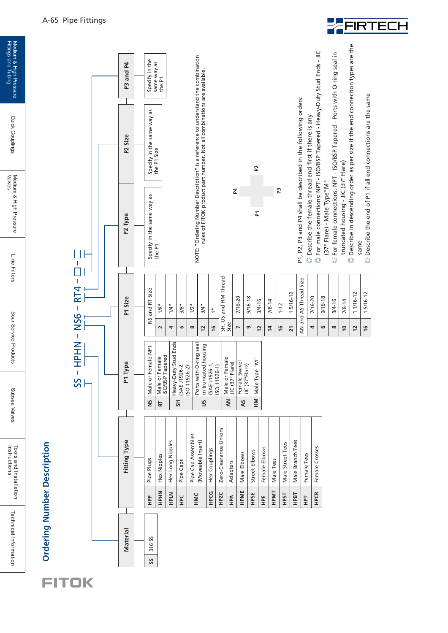

Medium & High Pressure<br>Fittings and Tubing



Specify in the same way as Specify in the<br>same way as<br>the P1

**P3 and P4**

P3 and P4

P<sub>2</sub> Size



P1, P2, P3 and P4 shall be described in the following orders: P1, P2, P3 and P4 shall be described in the following orders:

> AN and AS Thread Size  $7/16 - 20$ 9/16-18  $3/4 - 16$  $7/8 - 14$ 1 1/16-12 1 5/16-12

AN and AS Thread Size

15/16-12

7/8-14 1-12 1 5/16-12

Male Elbows

Adapters

Male or Female JIC (37° Flare)

JIC (37° Flare)

7/16-20 9/16-18  $3/4 - 16$ 

**79 12 14 16 21**

**AN**

**HPA**

Street Elbows

Street Elbows Male Elbows

 Type "M" Male **HM** Male Type "M"

**AS** Female Swivel JIC (37°Flare)

Female Elbows

Female Elbows

Male Tees

Male Tees

Male Street Tees

Male Street Tees

Male Branch Tees

Male Branch Tees

Female Tees

Female Tees

Female Crosses

Female Crosses

**HPCR**

**HPT**

**HPBT**

**HPST**

**HPMT**

**HPE**

**HPSE**

**HPME**

**46 8 10 12 16**

- ◎ Describe the female thread end first if there is any **Describe the female thread end first if there is any**
- For male connections: NPT ISO/BSP Tapered Heavy-Duty Stud Ends JIC Tor male connections: NPT - ISO/BSP Tapered - Heavy-Duty Stud Ends - JIC (37° Flare) - Male Type" M" (37° Flare) - Male Type"M"
- © Describe in descending order as per size if the end connection types are the Describe in descending order as per size if the end connection types are the © For female connections: NPT - ISO/BSP Tapered - Ports with O-ring seal in For female connections: NPT - ISO/BSP Tapered - Ports with O-ring seal in truncated housing - JIC (37° Flare) truncated housing - JIC (37° Flare)
	- © Describe the end of P1 if all end connections are the same Describe the end of P1 if all end connections are the same same same